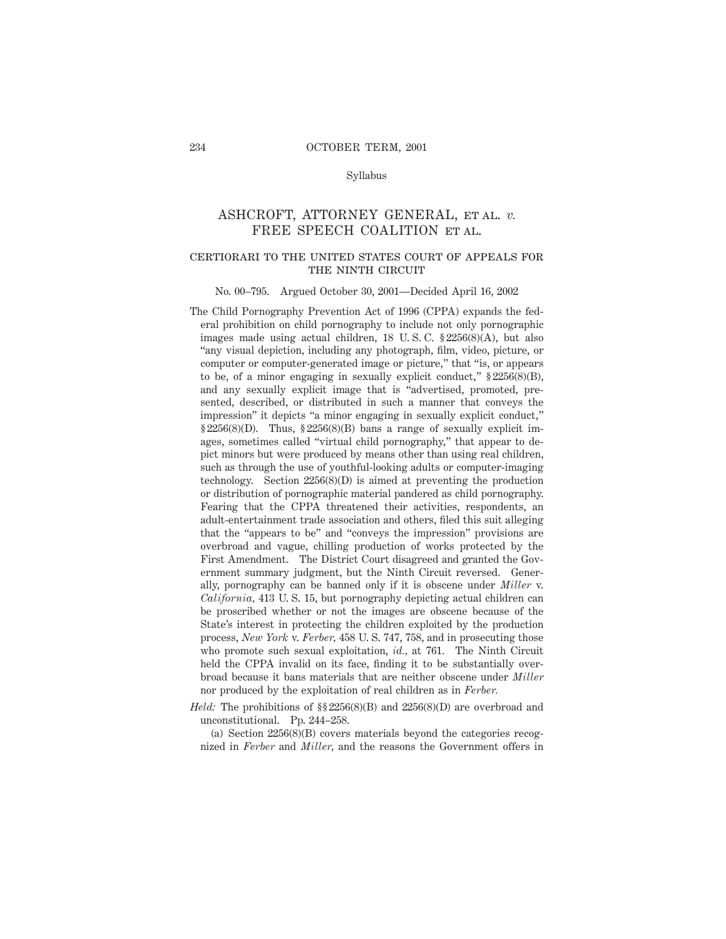# ASHCROFT, ATTORNEY GENERAL, et al. *v.* FREE SPEECH COALITION ET AL.

### certiorari to the united states court of appeals forTHE NINTH CIRCUIT

#### No. 00–795. Argued October 30, 2001—Decided April 16, 2002

The Child Pornography Prevention Act of 1996 (CPPA) expands the federal prohibition on child pornography to include not only pornographic images made using actual children, 18 U. S. C. § 2256(8)(A), but also "any visual depiction, including any photograph, film, video, picture, or computer or computer-generated image or picture," that "is, or appears to be, of a minor engaging in sexually explicit conduct," § 2256(8)(B), and any sexually explicit image that is "advertised, promoted, presented, described, or distributed in such a manner that conveys the impression" it depicts "a minor engaging in sexually explicit conduct,"  $\S 2256(8)(D)$ . Thus,  $\S 2256(8)(B)$  bans a range of sexually explicit images, sometimes called "virtual child pornography," that appear to depict minors but were produced by means other than using real children, such as through the use of youthful-looking adults or computer-imaging technology. Section 2256(8)(D) is aimed at preventing the production or distribution of pornographic material pandered as child pornography. Fearing that the CPPA threatened their activities, respondents, an adult-entertainment trade association and others, filed this suit alleging that the "appears to be" and "conveys the impression" provisions are overbroad and vague, chilling production of works protected by the First Amendment. The District Court disagreed and granted the Government summary judgment, but the Ninth Circuit reversed. Generally, pornography can be banned only if it is obscene under *Miller* v. *California,* 413 U. S. 15, but pornography depicting actual children can be proscribed whether or not the images are obscene because of the State's interest in protecting the children exploited by the production process, *New York* v. *Ferber,* 458 U. S. 747, 758, and in prosecuting those who promote such sexual exploitation, *id.,* at 761. The Ninth Circuit held the CPPA invalid on its face, finding it to be substantially overbroad because it bans materials that are neither obscene under *Miller* nor produced by the exploitation of real children as in *Ferber.*

*Held:* The prohibitions of §§ 2256(8)(B) and 2256(8)(D) are overbroad and unconstitutional. Pp. 244–258.

(a) Section 2256(8)(B) covers materials beyond the categories recognized in *Ferber* and *Miller,* and the reasons the Government offers in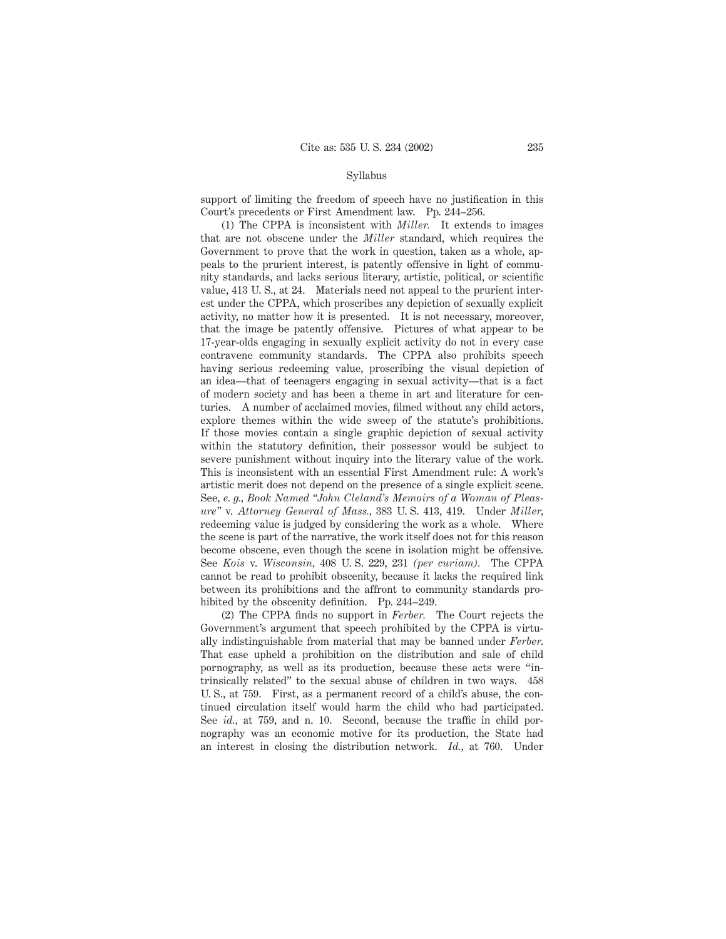support of limiting the freedom of speech have no justification in this Court's precedents or First Amendment law. Pp. 244–256.

(1) The CPPA is inconsistent with *Miller.* It extends to images that are not obscene under the *Miller* standard, which requires the Government to prove that the work in question, taken as a whole, appeals to the prurient interest, is patently offensive in light of community standards, and lacks serious literary, artistic, political, or scientific value, 413 U. S., at 24. Materials need not appeal to the prurient interest under the CPPA, which proscribes any depiction of sexually explicit activity, no matter how it is presented. It is not necessary, moreover, that the image be patently offensive. Pictures of what appear to be 17-year-olds engaging in sexually explicit activity do not in every case contravene community standards. The CPPA also prohibits speech having serious redeeming value, proscribing the visual depiction of an idea—that of teenagers engaging in sexual activity—that is a fact of modern society and has been a theme in art and literature for centuries. A number of acclaimed movies, filmed without any child actors, explore themes within the wide sweep of the statute's prohibitions. If those movies contain a single graphic depiction of sexual activity within the statutory definition, their possessor would be subject to severe punishment without inquiry into the literary value of the work. This is inconsistent with an essential First Amendment rule: A work's artistic merit does not depend on the presence of a single explicit scene. See, *e. g., Book Named "John Cleland's Memoirs of a Woman of Pleasure"* v. *Attorney General of Mass.,* 383 U. S. 413, 419. Under *Miller,* redeeming value is judged by considering the work as a whole. Where the scene is part of the narrative, the work itself does not for this reason become obscene, even though the scene in isolation might be offensive. See *Kois* v. *Wisconsin,* 408 U. S. 229, 231 *(per curiam).* The CPPA cannot be read to prohibit obscenity, because it lacks the required link between its prohibitions and the affront to community standards prohibited by the obscenity definition. Pp. 244–249.

(2) The CPPA finds no support in *Ferber.* The Court rejects the Government's argument that speech prohibited by the CPPA is virtually indistinguishable from material that may be banned under *Ferber.* That case upheld a prohibition on the distribution and sale of child pornography, as well as its production, because these acts were "intrinsically related" to the sexual abuse of children in two ways. 458 U. S., at 759. First, as a permanent record of a child's abuse, the continued circulation itself would harm the child who had participated. See *id.,* at 759, and n. 10. Second, because the traffic in child pornography was an economic motive for its production, the State had an interest in closing the distribution network. *Id.,* at 760. Under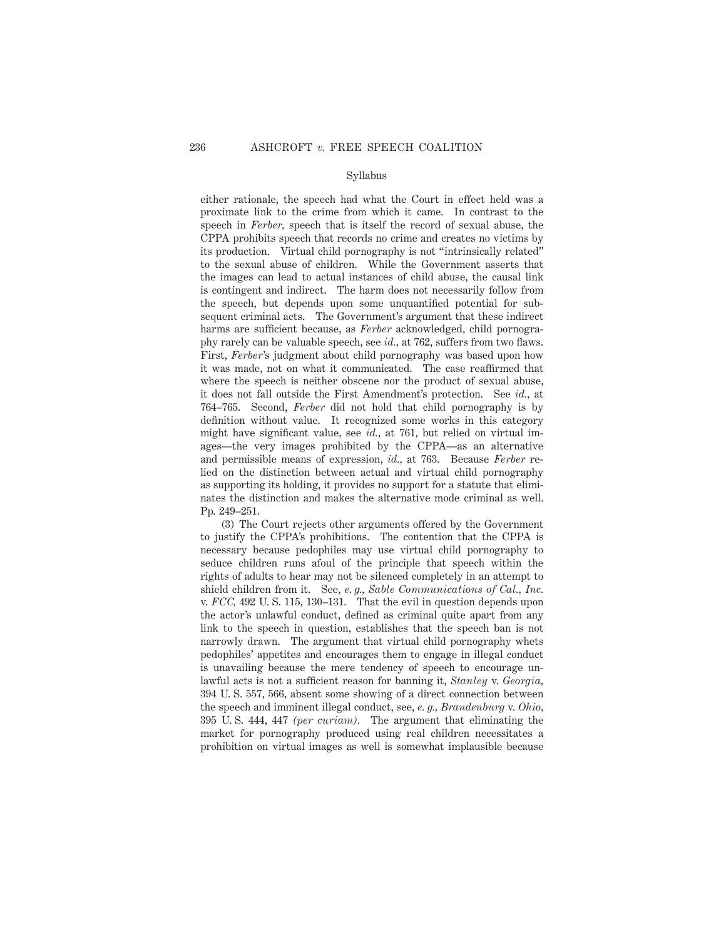either rationale, the speech had what the Court in effect held was a proximate link to the crime from which it came. In contrast to the speech in *Ferber,* speech that is itself the record of sexual abuse, the CPPA prohibits speech that records no crime and creates no victims by its production. Virtual child pornography is not "intrinsically related" to the sexual abuse of children. While the Government asserts that the images can lead to actual instances of child abuse, the causal link is contingent and indirect. The harm does not necessarily follow from the speech, but depends upon some unquantified potential for subsequent criminal acts. The Government's argument that these indirect harms are sufficient because, as *Ferber* acknowledged, child pornography rarely can be valuable speech, see *id.,* at 762, suffers from two flaws. First, *Ferber*'s judgment about child pornography was based upon how it was made, not on what it communicated. The case reaffirmed that where the speech is neither obscene nor the product of sexual abuse, it does not fall outside the First Amendment's protection. See *id.,* at 764–765. Second, *Ferber* did not hold that child pornography is by definition without value. It recognized some works in this category might have significant value, see *id.,* at 761, but relied on virtual images—the very images prohibited by the CPPA—as an alternative and permissible means of expression, *id.,* at 763. Because *Ferber* relied on the distinction between actual and virtual child pornography as supporting its holding, it provides no support for a statute that eliminates the distinction and makes the alternative mode criminal as well. Pp. 249–251.

(3) The Court rejects other arguments offered by the Government to justify the CPPA's prohibitions. The contention that the CPPA is necessary because pedophiles may use virtual child pornography to seduce children runs afoul of the principle that speech within the rights of adults to hear may not be silenced completely in an attempt to shield children from it. See, *e. g., Sable Communications of Cal., Inc.* v. *FCC,* 492 U. S. 115, 130–131. That the evil in question depends upon the actor's unlawful conduct, defined as criminal quite apart from any link to the speech in question, establishes that the speech ban is not narrowly drawn. The argument that virtual child pornography whets pedophiles' appetites and encourages them to engage in illegal conduct is unavailing because the mere tendency of speech to encourage unlawful acts is not a sufficient reason for banning it, *Stanley* v. *Georgia,* 394 U. S. 557, 566, absent some showing of a direct connection between the speech and imminent illegal conduct, see, *e. g., Brandenburg* v. *Ohio,* 395 U. S. 444, 447 *(per curiam).* The argument that eliminating the market for pornography produced using real children necessitates a prohibition on virtual images as well is somewhat implausible because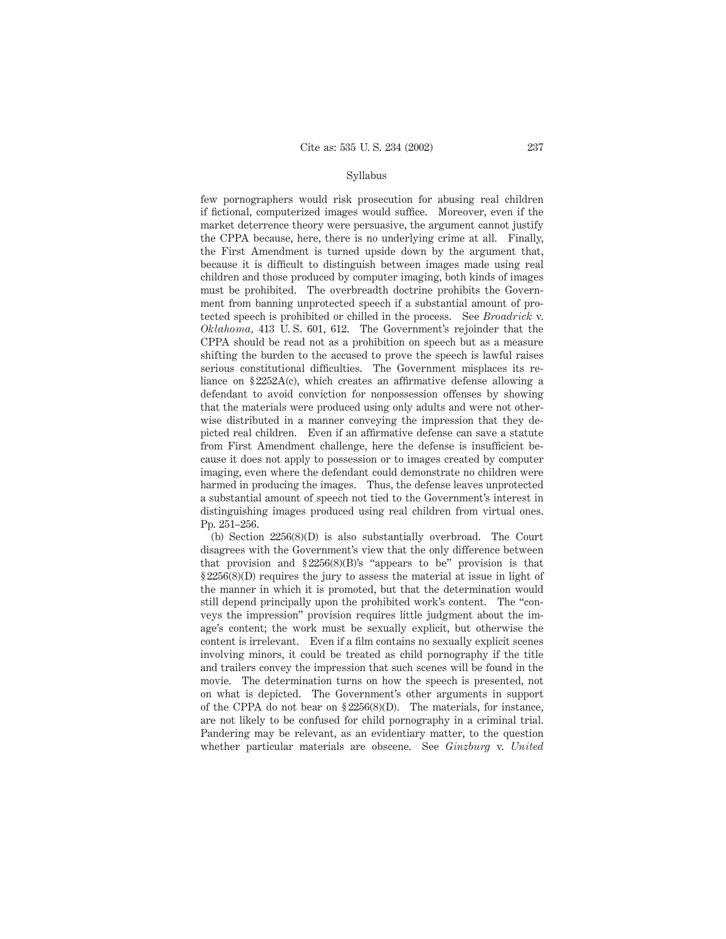few pornographers would risk prosecution for abusing real children if fictional, computerized images would suffice. Moreover, even if the market deterrence theory were persuasive, the argument cannot justify the CPPA because, here, there is no underlying crime at all. Finally, the First Amendment is turned upside down by the argument that, because it is difficult to distinguish between images made using real children and those produced by computer imaging, both kinds of images must be prohibited. The overbreadth doctrine prohibits the Government from banning unprotected speech if a substantial amount of protected speech is prohibited or chilled in the process. See *Broadrick* v. *Oklahoma,* 413 U. S. 601, 612. The Government's rejoinder that the CPPA should be read not as a prohibition on speech but as a measure shifting the burden to the accused to prove the speech is lawful raises serious constitutional difficulties. The Government misplaces its reliance on § 2252A(c), which creates an affirmative defense allowing a defendant to avoid conviction for nonpossession offenses by showing that the materials were produced using only adults and were not otherwise distributed in a manner conveying the impression that they depicted real children. Even if an affirmative defense can save a statute from First Amendment challenge, here the defense is insufficient because it does not apply to possession or to images created by computer imaging, even where the defendant could demonstrate no children were harmed in producing the images. Thus, the defense leaves unprotected a substantial amount of speech not tied to the Government's interest in distinguishing images produced using real children from virtual ones. Pp. 251–256.

(b) Section 2256(8)(D) is also substantially overbroad. The Court disagrees with the Government's view that the only difference between that provision and § 2256(8)(B)'s "appears to be" provision is that § 2256(8)(D) requires the jury to assess the material at issue in light of the manner in which it is promoted, but that the determination would still depend principally upon the prohibited work's content. The "conveys the impression" provision requires little judgment about the image's content; the work must be sexually explicit, but otherwise the content is irrelevant. Even if a film contains no sexually explicit scenes involving minors, it could be treated as child pornography if the title and trailers convey the impression that such scenes will be found in the movie. The determination turns on how the speech is presented, not on what is depicted. The Government's other arguments in support of the CPPA do not bear on § 2256(8)(D). The materials, for instance, are not likely to be confused for child pornography in a criminal trial. Pandering may be relevant, as an evidentiary matter, to the question whether particular materials are obscene. See *Ginzburg* v. *United*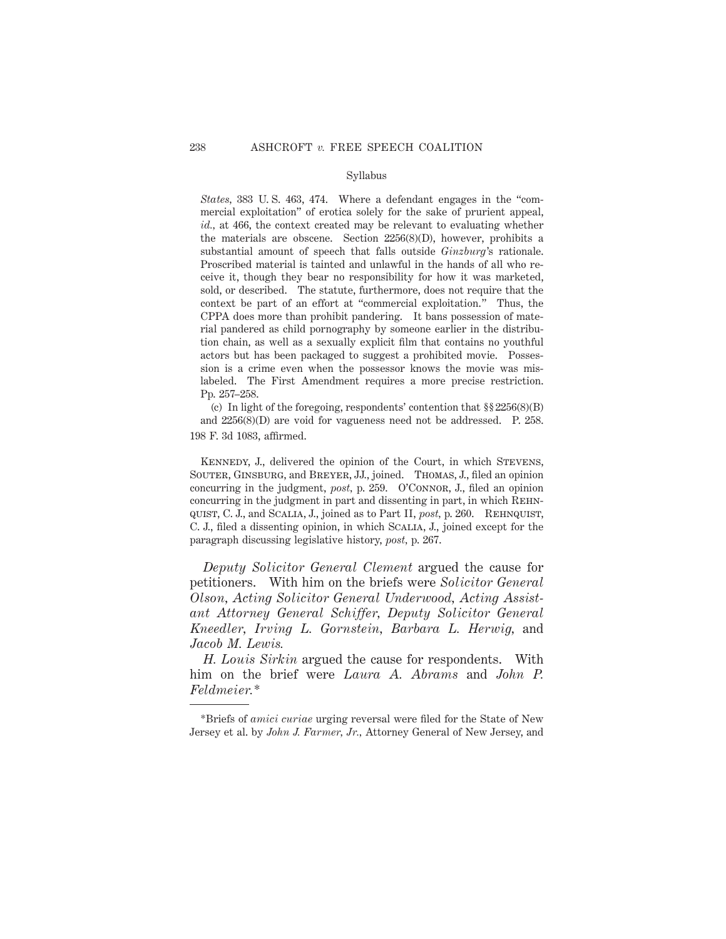*States,* 383 U. S. 463, 474. Where a defendant engages in the "commercial exploitation" of erotica solely for the sake of prurient appeal, *id.,* at 466, the context created may be relevant to evaluating whether the materials are obscene. Section 2256(8)(D), however, prohibits a substantial amount of speech that falls outside *Ginzburg*'s rationale. Proscribed material is tainted and unlawful in the hands of all who receive it, though they bear no responsibility for how it was marketed, sold, or described. The statute, furthermore, does not require that the context be part of an effort at "commercial exploitation." Thus, the CPPA does more than prohibit pandering. It bans possession of material pandered as child pornography by someone earlier in the distribution chain, as well as a sexually explicit film that contains no youthful actors but has been packaged to suggest a prohibited movie. Possession is a crime even when the possessor knows the movie was mislabeled. The First Amendment requires a more precise restriction. Pp. 257–258.

(c) In light of the foregoing, respondents' contention that  $\S 2256(8)(B)$ and 2256(8)(D) are void for vagueness need not be addressed. P. 258. 198 F. 3d 1083, affirmed.

KENNEDY, J., delivered the opinion of the Court, in which STEVENS, Souter, Ginsburg, and Breyer, JJ., joined. Thomas, J., filed an opinion concurring in the judgment, *post*, p. 259. O'CONNOR, J., filed an opinion concurring in the judgment in part and dissenting in part, in which REHNquist, C. J., and Scalia, J., joined as to Part II, *post,* p. 260. Rehnquist, C. J., filed a dissenting opinion, in which Scalia, J., joined except for the paragraph discussing legislative history, *post,* p. 267.

*Deputy Solicitor General Clement* argued the cause for petitioners. With him on the briefs were *Solicitor General Olson, Acting Solicitor General Underwood, Acting Assistant Attorney General Schiffer, Deputy Solicitor General Kneedler, Irving L. Gornstein, Barbara L. Herwig,* and *Jacob M. Lewis.*

*H. Louis Sirkin* argued the cause for respondents. With him on the brief were *Laura A. Abrams* and *John P. Feldmeier.\**

<sup>\*</sup>Briefs of *amici curiae* urging reversal were filed for the State of New Jersey et al. by *John J. Farmer, Jr.,* Attorney General of New Jersey, and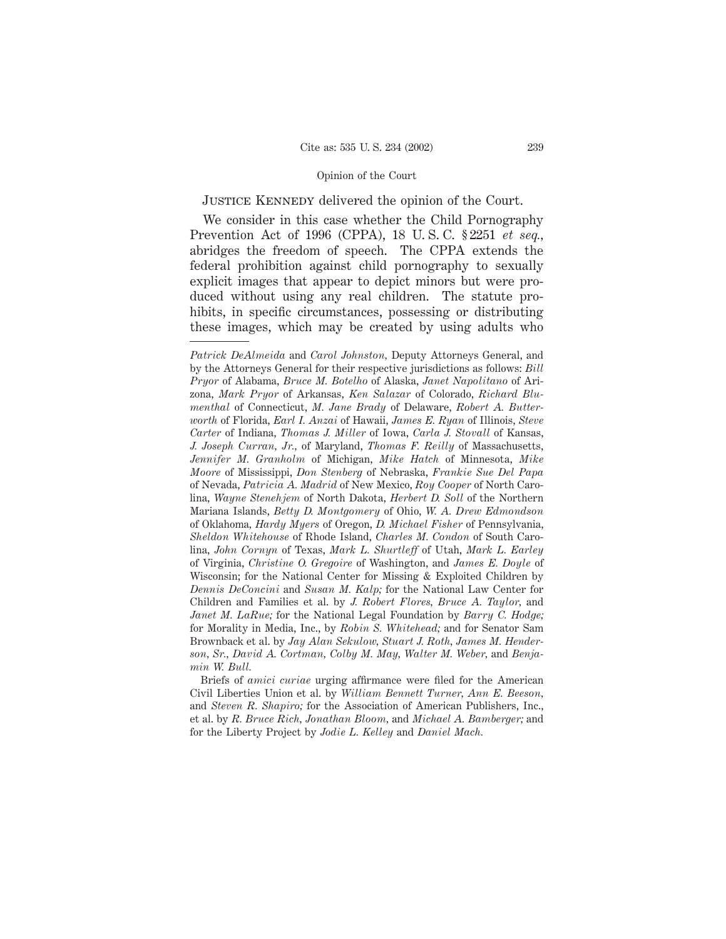JUSTICE KENNEDY delivered the opinion of the Court.

We consider in this case whether the Child Pornography Prevention Act of 1996 (CPPA), 18 U. S. C. § 2251 *et seq.,* abridges the freedom of speech. The CPPA extends the federal prohibition against child pornography to sexually explicit images that appear to depict minors but were produced without using any real children. The statute prohibits, in specific circumstances, possessing or distributing these images, which may be created by using adults who

Briefs of *amici curiae* urging affirmance were filed for the American Civil Liberties Union et al. by *William Bennett Turner, Ann E. Beeson,* and *Steven R. Shapiro;* for the Association of American Publishers, Inc., et al. by *R. Bruce Rich, Jonathan Bloom,* and *Michael A. Bamberger;* and for the Liberty Project by *Jodie L. Kelley* and *Daniel Mach.*

*Patrick DeAlmeida* and *Carol Johnston,* Deputy Attorneys General, and by the Attorneys General for their respective jurisdictions as follows: *Bill Pryor* of Alabama, *Bruce M. Botelho* of Alaska, *Janet Napolitano* of Arizona, *Mark Pryor* of Arkansas, *Ken Salazar* of Colorado, *Richard Blumenthal* of Connecticut, *M. Jane Brady* of Delaware, *Robert A. Butterworth* of Florida, *Earl I. Anzai* of Hawaii, *James E. Ryan* of Illinois, *Steve Carter* of Indiana, *Thomas J. Miller* of Iowa, *Carla J. Stovall* of Kansas, *J. Joseph Curran, Jr.,* of Maryland, *Thomas F. Reilly* of Massachusetts, *Jennifer M. Granholm* of Michigan, *Mike Hatch* of Minnesota, *Mike Moore* of Mississippi, *Don Stenberg* of Nebraska, *Frankie Sue Del Papa* of Nevada, *Patricia A. Madrid* of New Mexico, *Roy Cooper* of North Carolina, *Wayne Stenehjem* of North Dakota, *Herbert D. Soll* of the Northern Mariana Islands, *Betty D. Montgomery* of Ohio, *W. A. Drew Edmondson* of Oklahoma*, Hardy Myers* of Oregon, *D. Michael Fisher* of Pennsylvania, *Sheldon Whitehouse* of Rhode Island, *Charles M. Condon* of South Carolina, *John Cornyn* of Texas, *Mark L. Shurtleff* of Utah, *Mark L. Earley* of Virginia, *Christine O. Gregoire* of Washington, and *James E. Doyle* of Wisconsin; for the National Center for Missing & Exploited Children by *Dennis DeConcini* and *Susan M. Kalp;* for the National Law Center for Children and Families et al. by *J. Robert Flores, Bruce A. Taylor,* and *Janet M. LaRue;* for the National Legal Foundation by *Barry C. Hodge;* for Morality in Media, Inc., by *Robin S. Whitehead;* and for Senator Sam Brownback et al. by *Jay Alan Sekulow, Stuart J. Roth, James M. Henderson, Sr., David A. Cortman, Colby M. May, Walter M. Weber,* and *Benjamin W. Bull.*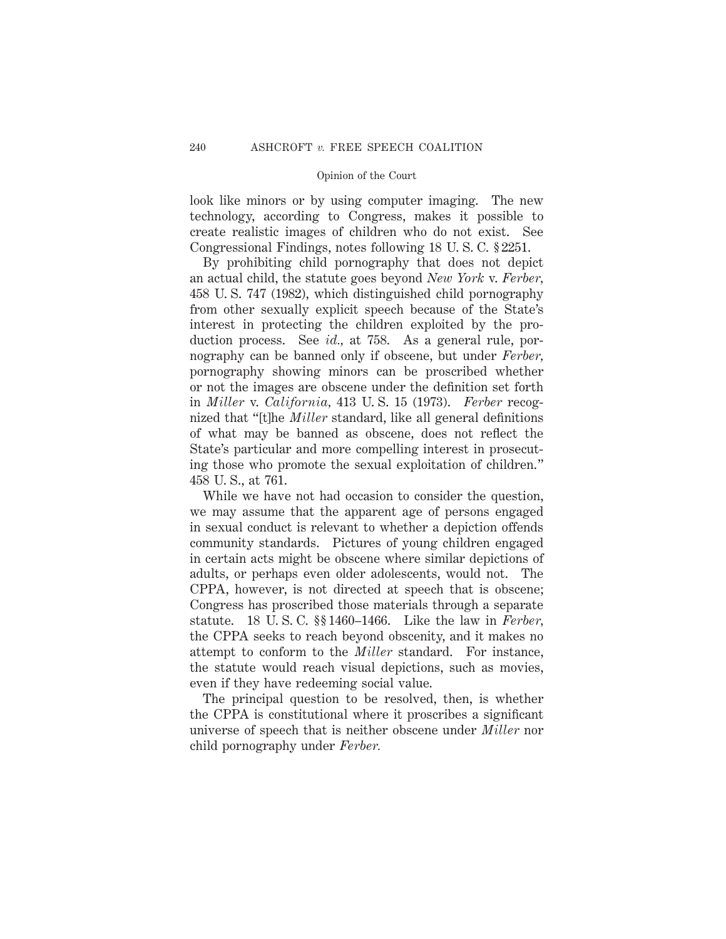look like minors or by using computer imaging. The new technology, according to Congress, makes it possible to create realistic images of children who do not exist. See Congressional Findings, notes following 18 U. S. C. § 2251.

By prohibiting child pornography that does not depict an actual child, the statute goes beyond *New York* v. *Ferber,* 458 U. S. 747 (1982), which distinguished child pornography from other sexually explicit speech because of the State's interest in protecting the children exploited by the production process. See *id.,* at 758. As a general rule, pornography can be banned only if obscene, but under *Ferber,* pornography showing minors can be proscribed whether or not the images are obscene under the definition set forth in *Miller* v. *California,* 413 U. S. 15 (1973). *Ferber* recognized that "[t]he *Miller* standard, like all general definitions of what may be banned as obscene, does not reflect the State's particular and more compelling interest in prosecuting those who promote the sexual exploitation of children." 458 U. S., at 761.

While we have not had occasion to consider the question, we may assume that the apparent age of persons engaged in sexual conduct is relevant to whether a depiction offends community standards. Pictures of young children engaged in certain acts might be obscene where similar depictions of adults, or perhaps even older adolescents, would not. The CPPA, however, is not directed at speech that is obscene; Congress has proscribed those materials through a separate statute. 18 U. S. C. §§ 1460–1466. Like the law in *Ferber,* the CPPA seeks to reach beyond obscenity, and it makes no attempt to conform to the *Miller* standard. For instance, the statute would reach visual depictions, such as movies, even if they have redeeming social value.

The principal question to be resolved, then, is whether the CPPA is constitutional where it proscribes a significant universe of speech that is neither obscene under *Miller* nor child pornography under *Ferber.*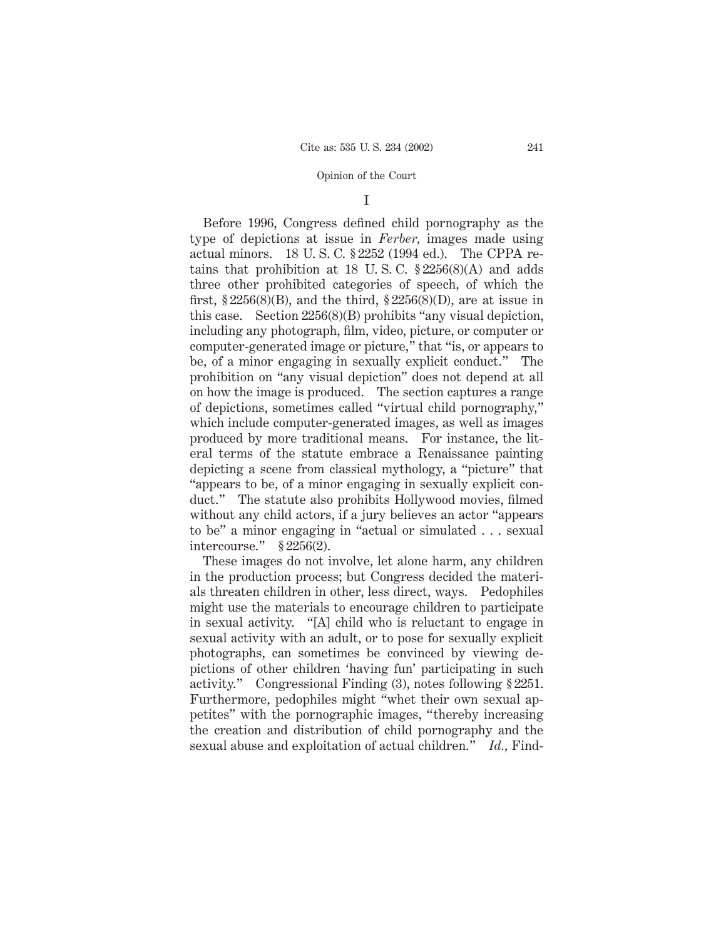### I

Before 1996, Congress defined child pornography as the type of depictions at issue in *Ferber,* images made using actual minors. 18 U. S. C. § 2252 (1994 ed.). The CPPA retains that prohibition at 18 U.S.C.  $\S 2256(8)(A)$  and adds three other prohibited categories of speech, of which the first,  $$2256(8)(B)$ , and the third,  $$2256(8)(D)$ , are at issue in this case. Section 2256(8)(B) prohibits "any visual depiction, including any photograph, film, video, picture, or computer or computer-generated image or picture," that "is, or appears to be, of a minor engaging in sexually explicit conduct." The prohibition on "any visual depiction" does not depend at all on how the image is produced. The section captures a range of depictions, sometimes called "virtual child pornography," which include computer-generated images, as well as images produced by more traditional means. For instance, the literal terms of the statute embrace a Renaissance painting depicting a scene from classical mythology, a "picture" that "appears to be, of a minor engaging in sexually explicit conduct." The statute also prohibits Hollywood movies, filmed without any child actors, if a jury believes an actor "appears to be" a minor engaging in "actual or simulated... sexual intercourse." § 2256(2).

These images do not involve, let alone harm, any children in the production process; but Congress decided the materials threaten children in other, less direct, ways. Pedophiles might use the materials to encourage children to participate in sexual activity. "[A] child who is reluctant to engage in sexual activity with an adult, or to pose for sexually explicit photographs, can sometimes be convinced by viewing depictions of other children 'having fun' participating in such activity." Congressional Finding (3), notes following § 2251. Furthermore, pedophiles might "whet their own sexual appetites" with the pornographic images, "thereby increasing the creation and distribution of child pornography and the sexual abuse and exploitation of actual children." *Id.,* Find-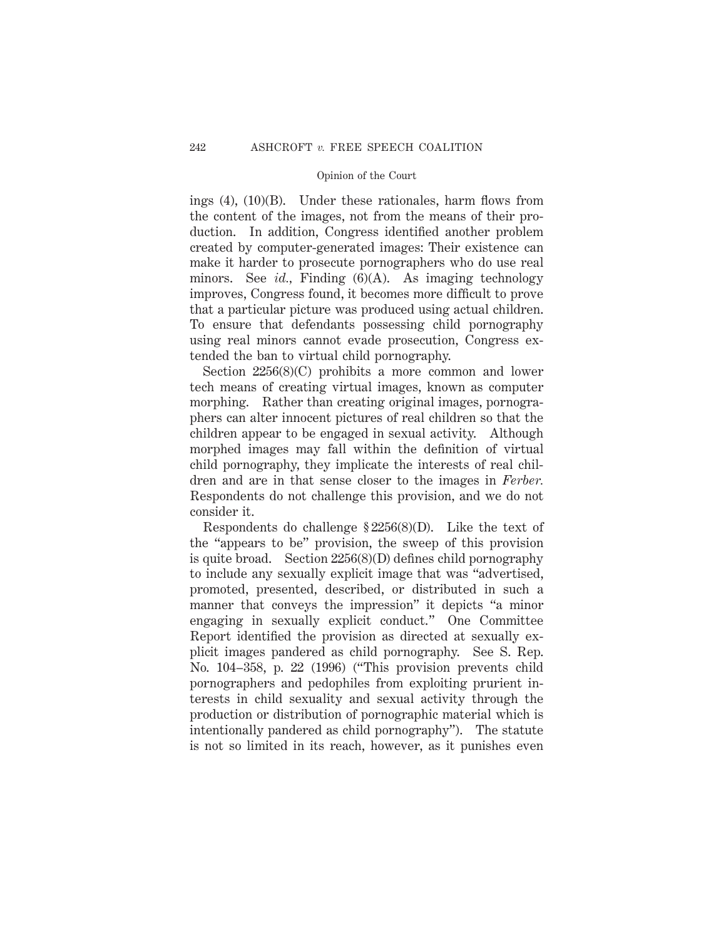ings (4), (10)(B). Under these rationales, harm flows from the content of the images, not from the means of their production. In addition, Congress identified another problem created by computer-generated images: Their existence can make it harder to prosecute pornographers who do use real minors. See *id.,* Finding (6)(A). As imaging technology improves, Congress found, it becomes more difficult to prove that a particular picture was produced using actual children. To ensure that defendants possessing child pornography using real minors cannot evade prosecution, Congress extended the ban to virtual child pornography.

Section 2256(8)(C) prohibits a more common and lower tech means of creating virtual images, known as computer morphing. Rather than creating original images, pornographers can alter innocent pictures of real children so that the children appear to be engaged in sexual activity. Although morphed images may fall within the definition of virtual child pornography, they implicate the interests of real children and are in that sense closer to the images in *Ferber.* Respondents do not challenge this provision, and we do not consider it.

Respondents do challenge  $\S 2256(8)(D)$ . Like the text of the "appears to be" provision, the sweep of this provision is quite broad. Section 2256(8)(D) defines child pornography to include any sexually explicit image that was "advertised, promoted, presented, described, or distributed in such a manner that conveys the impression" it depicts "a minor engaging in sexually explicit conduct." One Committee Report identified the provision as directed at sexually explicit images pandered as child pornography. See S. Rep. No. 104–358, p. 22 (1996) ("This provision prevents child pornographers and pedophiles from exploiting prurient interests in child sexuality and sexual activity through the production or distribution of pornographic material which is intentionally pandered as child pornography"). The statute is not so limited in its reach, however, as it punishes even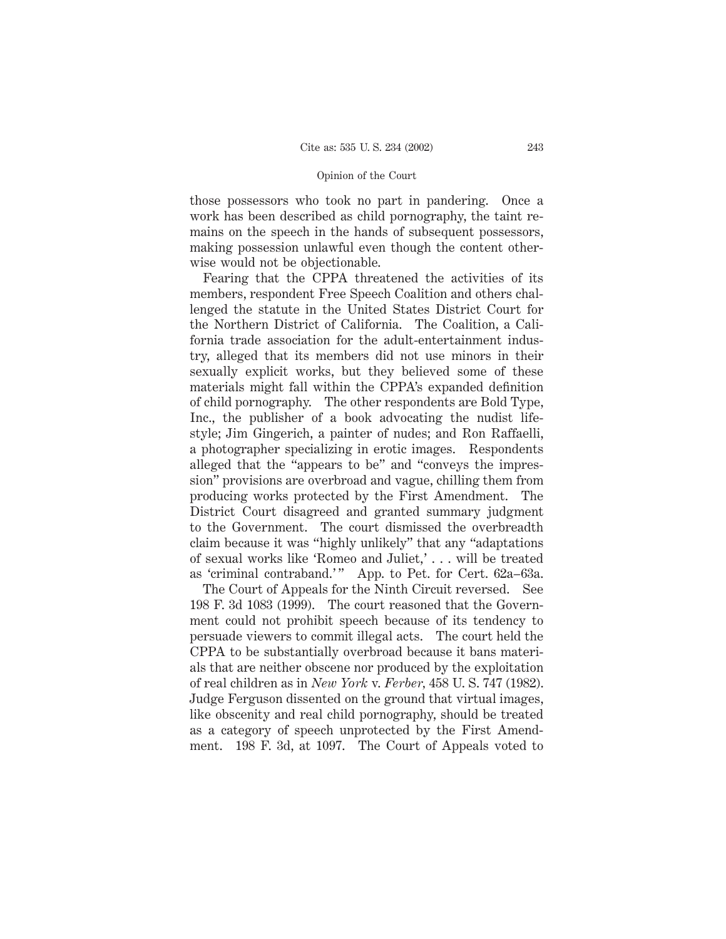those possessors who took no part in pandering. Once a work has been described as child pornography, the taint remains on the speech in the hands of subsequent possessors, making possession unlawful even though the content otherwise would not be objectionable.

Fearing that the CPPA threatened the activities of its members, respondent Free Speech Coalition and others challenged the statute in the United States District Court for the Northern District of California. The Coalition, a California trade association for the adult-entertainment industry, alleged that its members did not use minors in their sexually explicit works, but they believed some of these materials might fall within the CPPA's expanded definition of child pornography. The other respondents are Bold Type, Inc., the publisher of a book advocating the nudist lifestyle; Jim Gingerich, a painter of nudes; and Ron Raffaelli, a photographer specializing in erotic images. Respondents alleged that the "appears to be" and "conveys the impression" provisions are overbroad and vague, chilling them from producing works protected by the First Amendment. The District Court disagreed and granted summary judgment to the Government. The court dismissed the overbreadth claim because it was "highly unlikely" that any "adaptations of sexual works like 'Romeo and Juliet,' . . . will be treated as 'criminal contraband.'" App. to Pet. for Cert. 62a–63a.

The Court of Appeals for the Ninth Circuit reversed. See 198 F. 3d 1083 (1999). The court reasoned that the Government could not prohibit speech because of its tendency to persuade viewers to commit illegal acts. The court held the CPPA to be substantially overbroad because it bans materials that are neither obscene nor produced by the exploitation of real children as in *New York* v. *Ferber,* 458 U. S. 747 (1982). Judge Ferguson dissented on the ground that virtual images, like obscenity and real child pornography, should be treated as a category of speech unprotected by the First Amendment. 198 F. 3d, at 1097. The Court of Appeals voted to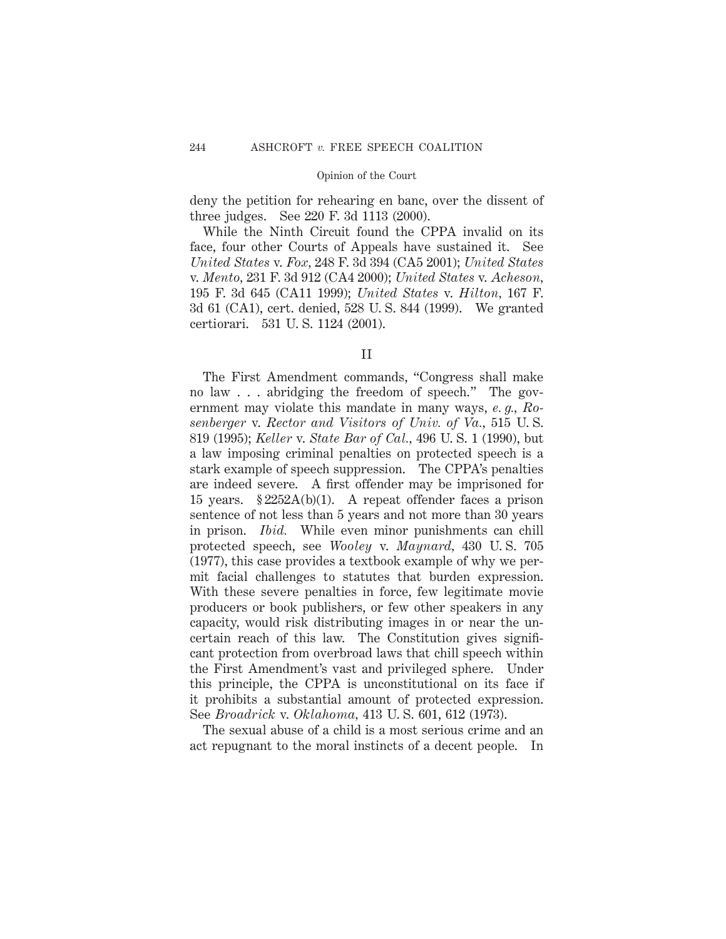deny the petition for rehearing en banc, over the dissent of three judges. See 220 F. 3d 1113 (2000).

While the Ninth Circuit found the CPPA invalid on its face, four other Courts of Appeals have sustained it. See *United States* v. *Fox,* 248 F. 3d 394 (CA5 2001); *United States* v. *Mento,* 231 F. 3d 912 (CA4 2000); *United States* v. *Acheson,* 195 F. 3d 645 (CA11 1999); *United States* v. *Hilton,* 167 F. 3d 61 (CA1), cert. denied, 528 U. S. 844 (1999). We granted certiorari. 531 U. S. 1124 (2001).

II

The First Amendment commands, "Congress shall make no law . . . abridging the freedom of speech." The government may violate this mandate in many ways, *e. g., Rosenberger* v. *Rector and Visitors of Univ. of Va.,* 515 U. S. 819 (1995); *Keller* v. *State Bar of Cal.,* 496 U. S. 1 (1990), but a law imposing criminal penalties on protected speech is a stark example of speech suppression. The CPPA's penalties are indeed severe. A first offender may be imprisoned for 15 years. § 2252A(b)(1). A repeat offender faces a prison sentence of not less than 5 years and not more than 30 years in prison. *Ibid.* While even minor punishments can chill protected speech, see *Wooley* v. *Maynard,* 430 U. S. 705 (1977), this case provides a textbook example of why we permit facial challenges to statutes that burden expression. With these severe penalties in force, few legitimate movie producers or book publishers, or few other speakers in any capacity, would risk distributing images in or near the uncertain reach of this law. The Constitution gives significant protection from overbroad laws that chill speech within the First Amendment's vast and privileged sphere. Under this principle, the CPPA is unconstitutional on its face if it prohibits a substantial amount of protected expression. See *Broadrick* v. *Oklahoma,* 413 U. S. 601, 612 (1973).

The sexual abuse of a child is a most serious crime and an act repugnant to the moral instincts of a decent people. In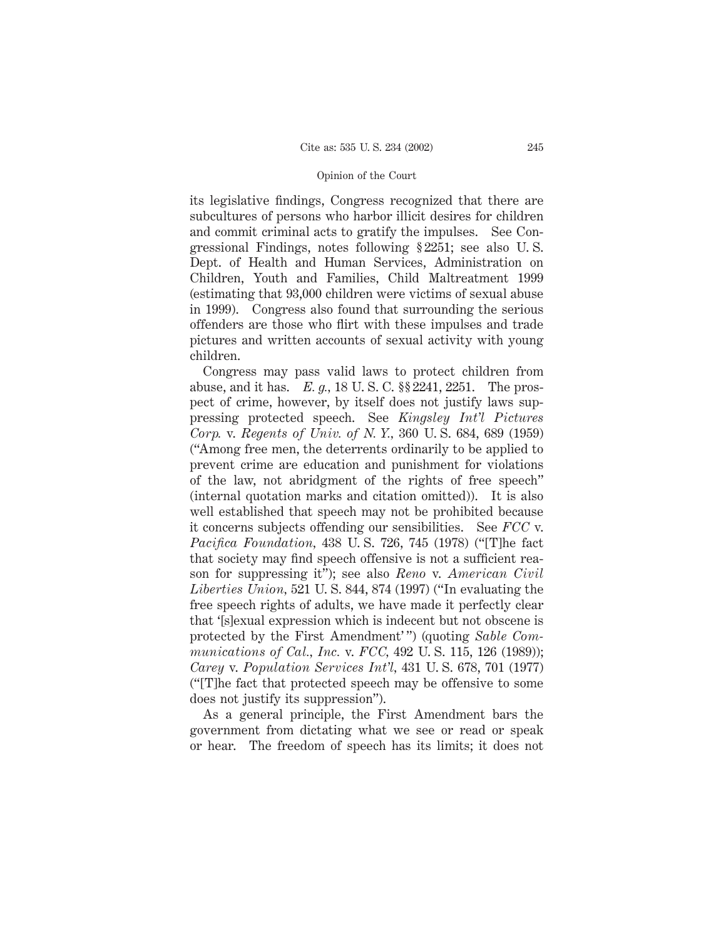its legislative findings, Congress recognized that there are subcultures of persons who harbor illicit desires for children and commit criminal acts to gratify the impulses. See Congressional Findings, notes following § 2251; see also U. S. Dept. of Health and Human Services, Administration on Children, Youth and Families, Child Maltreatment 1999 (estimating that 93,000 children were victims of sexual abuse in 1999). Congress also found that surrounding the serious offenders are those who flirt with these impulses and trade pictures and written accounts of sexual activity with young children.

Congress may pass valid laws to protect children from abuse, and it has. *E. g.,* 18 U. S. C. §§ 2241, 2251. The prospect of crime, however, by itself does not justify laws suppressing protected speech. See *Kingsley Int'l Pictures Corp.* v. *Regents of Univ. of N. Y.,* 360 U. S. 684, 689 (1959) ("Among free men, the deterrents ordinarily to be applied to prevent crime are education and punishment for violations of the law, not abridgment of the rights of free speech" (internal quotation marks and citation omitted)). It is also well established that speech may not be prohibited because it concerns subjects offending our sensibilities. See *FCC* v. *Pacifica Foundation,* 438 U. S. 726, 745 (1978) ("[T]he fact that society may find speech offensive is not a sufficient reason for suppressing it"); see also *Reno* v. *American Civil Liberties Union,* 521 U. S. 844, 874 (1997) ("In evaluating the free speech rights of adults, we have made it perfectly clear that '[s]exual expression which is indecent but not obscene is protected by the First Amendment' ") (quoting *Sable Communications of Cal., Inc.* v. *FCC,* 492 U. S. 115, 126 (1989)); *Carey* v. *Population Services Int'l,* 431 U. S. 678, 701 (1977) ("[T]he fact that protected speech may be offensive to some does not justify its suppression").

As a general principle, the First Amendment bars the government from dictating what we see or read or speak or hear. The freedom of speech has its limits; it does not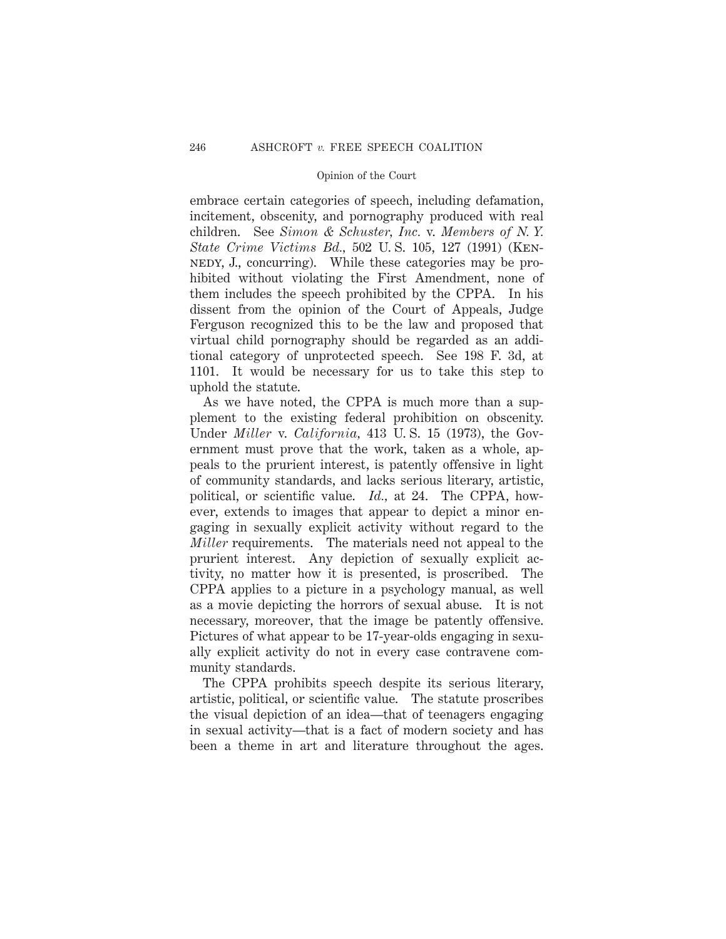embrace certain categories of speech, including defamation, incitement, obscenity, and pornography produced with real children. See *Simon & Schuster, Inc.* v. *Members of N. Y. State Crime Victims Bd.,* 502 U. S. 105, 127 (1991) (Kennedy, J., concurring). While these categories may be prohibited without violating the First Amendment, none of them includes the speech prohibited by the CPPA. In his dissent from the opinion of the Court of Appeals, Judge Ferguson recognized this to be the law and proposed that virtual child pornography should be regarded as an additional category of unprotected speech. See 198 F. 3d, at 1101. It would be necessary for us to take this step to uphold the statute.

As we have noted, the CPPA is much more than a supplement to the existing federal prohibition on obscenity. Under *Miller* v. *California,* 413 U. S. 15 (1973), the Government must prove that the work, taken as a whole, appeals to the prurient interest, is patently offensive in light of community standards, and lacks serious literary, artistic, political, or scientific value. *Id.,* at 24. The CPPA, however, extends to images that appear to depict a minor engaging in sexually explicit activity without regard to the *Miller* requirements. The materials need not appeal to the prurient interest. Any depiction of sexually explicit activity, no matter how it is presented, is proscribed. The CPPA applies to a picture in a psychology manual, as well as a movie depicting the horrors of sexual abuse. It is not necessary, moreover, that the image be patently offensive. Pictures of what appear to be 17-year-olds engaging in sexually explicit activity do not in every case contravene community standards.

The CPPA prohibits speech despite its serious literary, artistic, political, or scientific value. The statute proscribes the visual depiction of an idea—that of teenagers engaging in sexual activity—that is a fact of modern society and has been a theme in art and literature throughout the ages.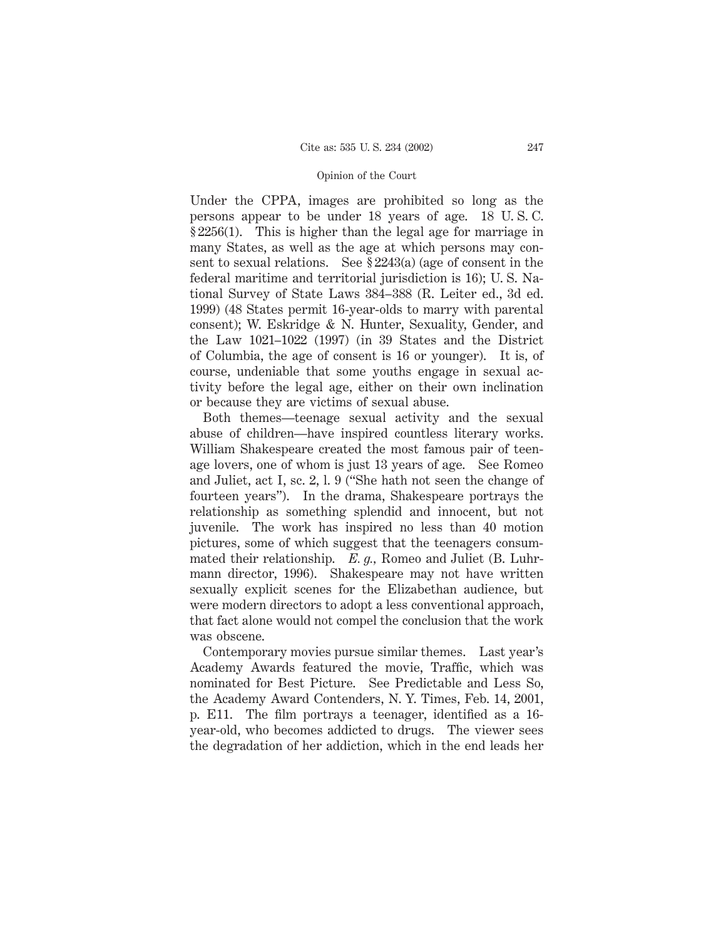Under the CPPA, images are prohibited so long as the persons appear to be under 18 years of age. 18 U. S. C. § 2256(1). This is higher than the legal age for marriage in many States, as well as the age at which persons may consent to sexual relations. See § 2243(a) (age of consent in the federal maritime and territorial jurisdiction is 16); U. S. National Survey of State Laws 384–388 (R. Leiter ed., 3d ed. 1999) (48 States permit 16-year-olds to marry with parental consent); W. Eskridge & N. Hunter, Sexuality, Gender, and the Law 1021–1022 (1997) (in 39 States and the District of Columbia, the age of consent is 16 or younger). It is, of course, undeniable that some youths engage in sexual activity before the legal age, either on their own inclination or because they are victims of sexual abuse.

Both themes—teenage sexual activity and the sexual abuse of children—have inspired countless literary works. William Shakespeare created the most famous pair of teenage lovers, one of whom is just 13 years of age. See Romeo and Juliet, act I, sc. 2, l. 9 ("She hath not seen the change of fourteen years"). In the drama, Shakespeare portrays the relationship as something splendid and innocent, but not juvenile. The work has inspired no less than 40 motion pictures, some of which suggest that the teenagers consummated their relationship. *E. g.,* Romeo and Juliet (B. Luhrmann director, 1996). Shakespeare may not have written sexually explicit scenes for the Elizabethan audience, but were modern directors to adopt a less conventional approach, that fact alone would not compel the conclusion that the work was obscene.

Contemporary movies pursue similar themes. Last year's Academy Awards featured the movie, Traffic, which was nominated for Best Picture. See Predictable and Less So, the Academy Award Contenders, N. Y. Times, Feb. 14, 2001, p. E11. The film portrays a teenager, identified as a 16 year-old, who becomes addicted to drugs. The viewer sees the degradation of her addiction, which in the end leads her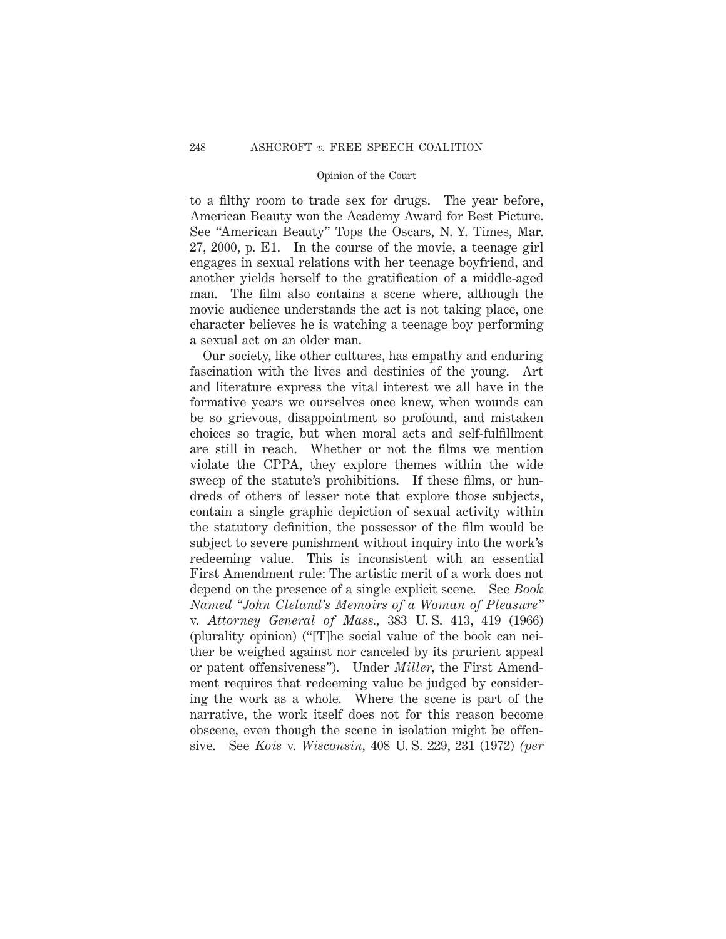to a filthy room to trade sex for drugs. The year before, American Beauty won the Academy Award for Best Picture. See "American Beauty" Tops the Oscars, N. Y. Times, Mar. 27, 2000, p. E1. In the course of the movie, a teenage girl engages in sexual relations with her teenage boyfriend, and another yields herself to the gratification of a middle-aged man. The film also contains a scene where, although the movie audience understands the act is not taking place, one character believes he is watching a teenage boy performing a sexual act on an older man.

Our society, like other cultures, has empathy and enduring fascination with the lives and destinies of the young. Art and literature express the vital interest we all have in the formative years we ourselves once knew, when wounds can be so grievous, disappointment so profound, and mistaken choices so tragic, but when moral acts and self-fulfillment are still in reach. Whether or not the films we mention violate the CPPA, they explore themes within the wide sweep of the statute's prohibitions. If these films, or hundreds of others of lesser note that explore those subjects, contain a single graphic depiction of sexual activity within the statutory definition, the possessor of the film would be subject to severe punishment without inquiry into the work's redeeming value. This is inconsistent with an essential First Amendment rule: The artistic merit of a work does not depend on the presence of a single explicit scene. See *Book Named "John Cleland's Memoirs of a Woman of Pleasure"* v. *Attorney General of Mass.,* 383 U. S. 413, 419 (1966) (plurality opinion) ("[T]he social value of the book can neither be weighed against nor canceled by its prurient appeal or patent offensiveness"). Under *Miller,* the First Amendment requires that redeeming value be judged by considering the work as a whole. Where the scene is part of the narrative, the work itself does not for this reason become obscene, even though the scene in isolation might be offensive. See *Kois* v. *Wisconsin,* 408 U. S. 229, 231 (1972) *(per*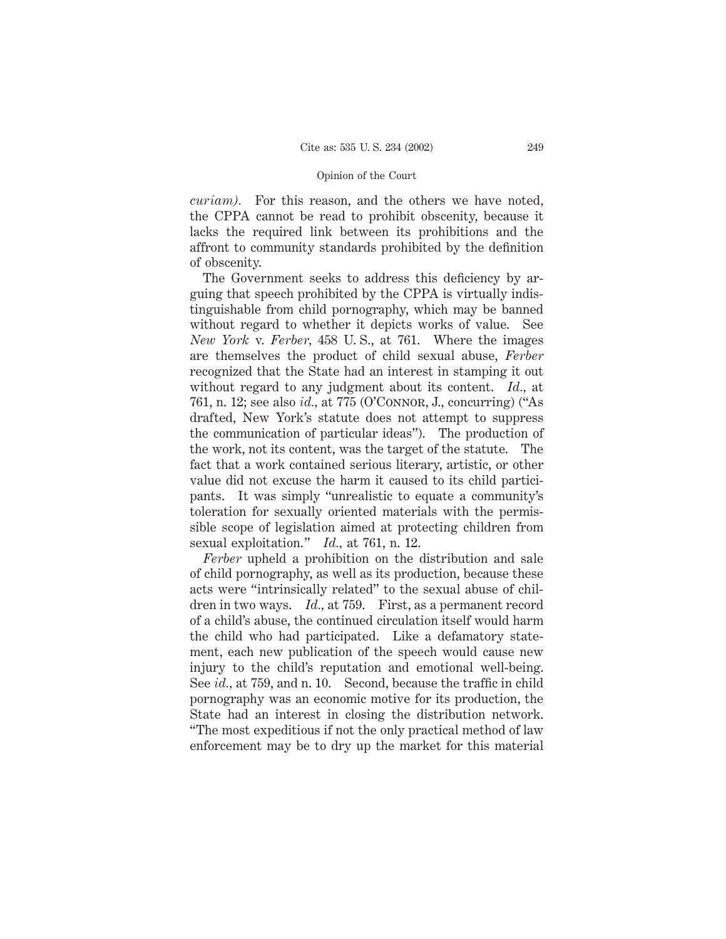*curiam).* For this reason, and the others we have noted, the CPPA cannot be read to prohibit obscenity, because it lacks the required link between its prohibitions and the affront to community standards prohibited by the definition of obscenity.

The Government seeks to address this deficiency by arguing that speech prohibited by the CPPA is virtually indistinguishable from child pornography, which may be banned without regard to whether it depicts works of value. See *New York* v. *Ferber,* 458 U. S., at 761. Where the images are themselves the product of child sexual abuse, *Ferber* recognized that the State had an interest in stamping it out without regard to any judgment about its content. *Id.,* at 761, n. 12; see also *id.,* at 775 (O'Connor, J., concurring) ("As drafted, New York's statute does not attempt to suppress the communication of particular ideas"). The production of the work, not its content, was the target of the statute. The fact that a work contained serious literary, artistic, or other value did not excuse the harm it caused to its child participants. It was simply "unrealistic to equate a community's toleration for sexually oriented materials with the permissible scope of legislation aimed at protecting children from sexual exploitation." *Id.,* at 761, n. 12.

*Ferber* upheld a prohibition on the distribution and sale of child pornography, as well as its production, because these acts were "intrinsically related" to the sexual abuse of children in two ways. *Id.,* at 759. First, as a permanent record of a child's abuse, the continued circulation itself would harm the child who had participated. Like a defamatory statement, each new publication of the speech would cause new injury to the child's reputation and emotional well-being. See *id.,* at 759, and n. 10. Second, because the traffic in child pornography was an economic motive for its production, the State had an interest in closing the distribution network. "The most expeditious if not the only practical method of law enforcement may be to dry up the market for this material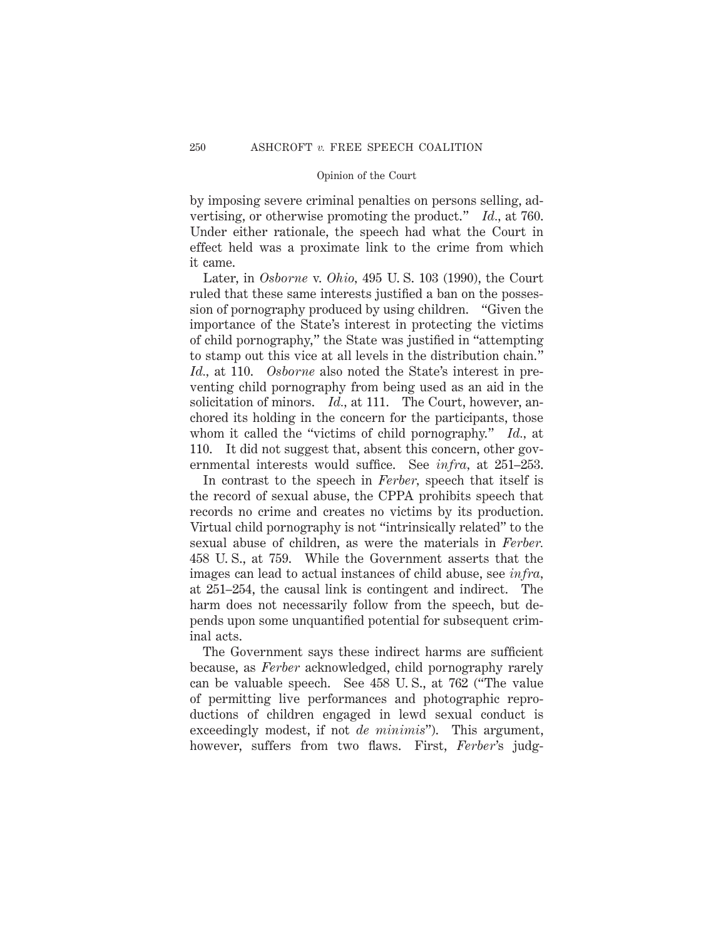by imposing severe criminal penalties on persons selling, advertising, or otherwise promoting the product." *Id.,* at 760. Under either rationale, the speech had what the Court in effect held was a proximate link to the crime from which it came.

Later, in *Osborne* v. *Ohio,* 495 U. S. 103 (1990), the Court ruled that these same interests justified a ban on the possession of pornography produced by using children. "Given the importance of the State's interest in protecting the victims of child pornography," the State was justified in "attempting to stamp out this vice at all levels in the distribution chain." *Id.,* at 110. *Osborne* also noted the State's interest in preventing child pornography from being used as an aid in the solicitation of minors. *Id.*, at 111. The Court, however, anchored its holding in the concern for the participants, those whom it called the "victims of child pornography." *Id.,* at 110. It did not suggest that, absent this concern, other governmental interests would suffice. See *infra,* at 251–253.

In contrast to the speech in *Ferber,* speech that itself is the record of sexual abuse, the CPPA prohibits speech that records no crime and creates no victims by its production. Virtual child pornography is not "intrinsically related" to the sexual abuse of children, as were the materials in *Ferber.* 458 U. S., at 759. While the Government asserts that the images can lead to actual instances of child abuse, see *infra,* at 251–254, the causal link is contingent and indirect. The harm does not necessarily follow from the speech, but depends upon some unquantified potential for subsequent criminal acts.

The Government says these indirect harms are sufficient because, as *Ferber* acknowledged, child pornography rarely can be valuable speech. See 458 U. S., at 762 ("The value of permitting live performances and photographic reproductions of children engaged in lewd sexual conduct is exceedingly modest, if not *de minimis*"). This argument, however, suffers from two flaws. First, *Ferber*'s judg-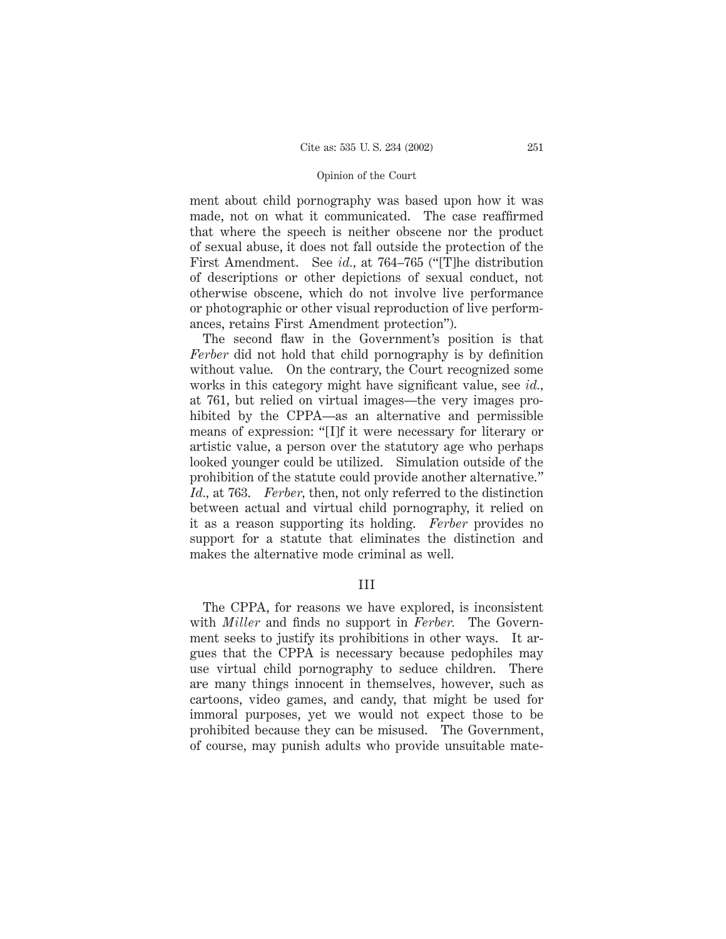ment about child pornography was based upon how it was made, not on what it communicated. The case reaffirmed that where the speech is neither obscene nor the product of sexual abuse, it does not fall outside the protection of the First Amendment. See *id.,* at 764–765 ("[T]he distribution of descriptions or other depictions of sexual conduct, not otherwise obscene, which do not involve live performance or photographic or other visual reproduction of live performances, retains First Amendment protection").

The second flaw in the Government's position is that *Ferber* did not hold that child pornography is by definition without value. On the contrary, the Court recognized some works in this category might have significant value, see *id.,* at 761, but relied on virtual images—the very images prohibited by the CPPA—as an alternative and permissible means of expression: "[I]f it were necessary for literary or artistic value, a person over the statutory age who perhaps looked younger could be utilized. Simulation outside of the prohibition of the statute could provide another alternative." *Id.,* at 763. *Ferber,* then, not only referred to the distinction between actual and virtual child pornography, it relied on it as a reason supporting its holding. *Ferber* provides no support for a statute that eliminates the distinction and makes the alternative mode criminal as well.

III

The CPPA, for reasons we have explored, is inconsistent with *Miller* and finds no support in *Ferber.* The Government seeks to justify its prohibitions in other ways. It argues that the CPPA is necessary because pedophiles may use virtual child pornography to seduce children. There are many things innocent in themselves, however, such as cartoons, video games, and candy, that might be used for immoral purposes, yet we would not expect those to be prohibited because they can be misused. The Government, of course, may punish adults who provide unsuitable mate-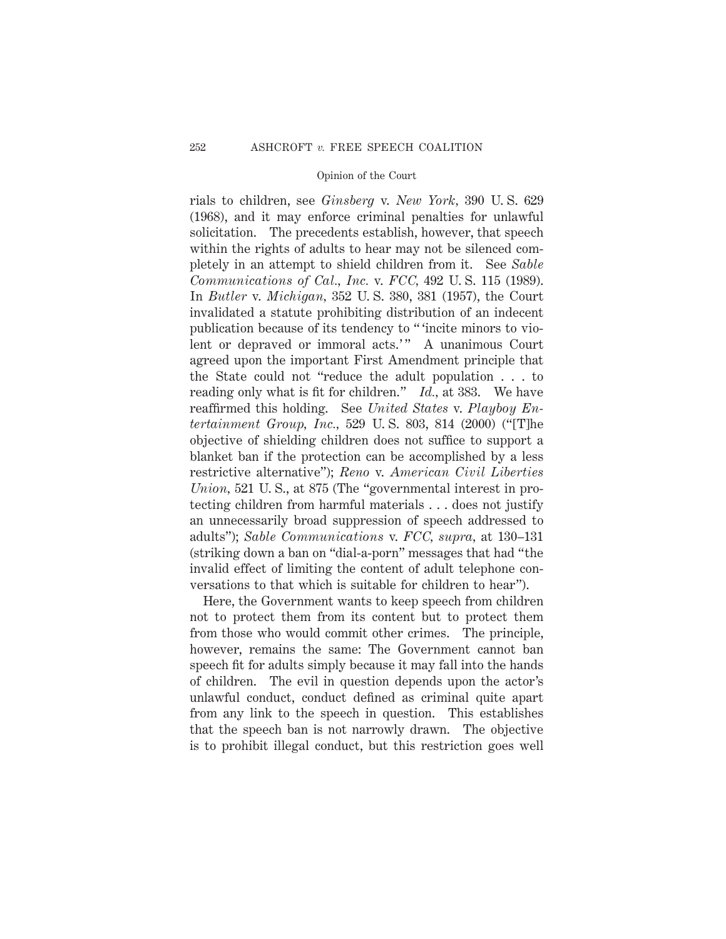rials to children, see *Ginsberg* v. *New York,* 390 U. S. 629 (1968), and it may enforce criminal penalties for unlawful solicitation. The precedents establish, however, that speech within the rights of adults to hear may not be silenced completely in an attempt to shield children from it. See *Sable Communications of Cal., Inc.* v. *FCC,* 492 U. S. 115 (1989). In *Butler* v. *Michigan,* 352 U. S. 380, 381 (1957), the Court invalidated a statute prohibiting distribution of an indecent publication because of its tendency to " 'incite minors to violent or depraved or immoral acts.'" A unanimous Court agreed upon the important First Amendment principle that the State could not "reduce the adult population . . . to reading only what is fit for children." *Id.,* at 383. We have reaffirmed this holding. See *United States* v. *Playboy Entertainment Group, Inc.,* 529 U. S. 803, 814 (2000) ("[T]he objective of shielding children does not suffice to support a blanket ban if the protection can be accomplished by a less restrictive alternative"); *Reno* v. *American Civil Liberties Union,* 521 U. S., at 875 (The "governmental interest in protecting children from harmful materials . . . does not justify an unnecessarily broad suppression of speech addressed to adults"); *Sable Communications* v. *FCC, supra,* at 130–131 (striking down a ban on "dial-a-porn" messages that had "the invalid effect of limiting the content of adult telephone conversations to that which is suitable for children to hear").

Here, the Government wants to keep speech from children not to protect them from its content but to protect them from those who would commit other crimes. The principle, however, remains the same: The Government cannot ban speech fit for adults simply because it may fall into the hands of children. The evil in question depends upon the actor's unlawful conduct, conduct defined as criminal quite apart from any link to the speech in question. This establishes that the speech ban is not narrowly drawn. The objective is to prohibit illegal conduct, but this restriction goes well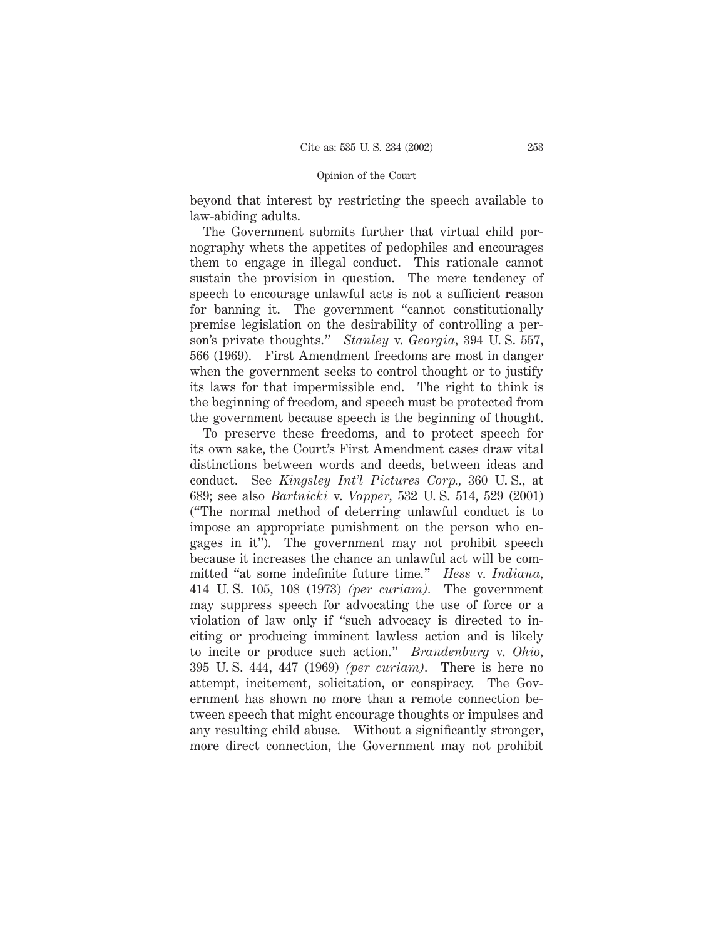beyond that interest by restricting the speech available to law-abiding adults.

The Government submits further that virtual child pornography whets the appetites of pedophiles and encourages them to engage in illegal conduct. This rationale cannot sustain the provision in question. The mere tendency of speech to encourage unlawful acts is not a sufficient reason for banning it. The government "cannot constitutionally premise legislation on the desirability of controlling a person's private thoughts." *Stanley* v. *Georgia,* 394 U. S. 557, 566 (1969). First Amendment freedoms are most in danger when the government seeks to control thought or to justify its laws for that impermissible end. The right to think is the beginning of freedom, and speech must be protected from the government because speech is the beginning of thought.

To preserve these freedoms, and to protect speech for its own sake, the Court's First Amendment cases draw vital distinctions between words and deeds, between ideas and conduct. See *Kingsley Int'l Pictures Corp.,* 360 U. S., at 689; see also *Bartnicki* v. *Vopper,* 532 U. S. 514, 529 (2001) ("The normal method of deterring unlawful conduct is to impose an appropriate punishment on the person who engages in it"). The government may not prohibit speech because it increases the chance an unlawful act will be committed "at some indefinite future time." *Hess* v. *Indiana,* 414 U. S. 105, 108 (1973) *(per curiam).* The government may suppress speech for advocating the use of force or a violation of law only if "such advocacy is directed to inciting or producing imminent lawless action and is likely to incite or produce such action." *Brandenburg* v. *Ohio,* 395 U. S. 444, 447 (1969) *(per curiam).* There is here no attempt, incitement, solicitation, or conspiracy. The Government has shown no more than a remote connection between speech that might encourage thoughts or impulses and any resulting child abuse. Without a significantly stronger, more direct connection, the Government may not prohibit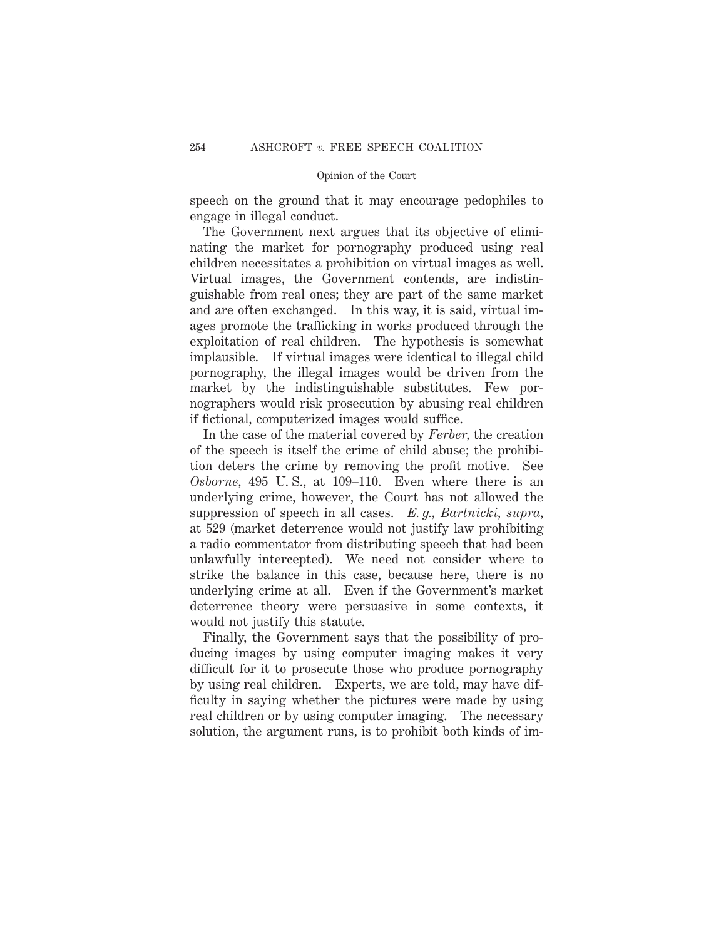speech on the ground that it may encourage pedophiles to engage in illegal conduct.

The Government next argues that its objective of eliminating the market for pornography produced using real children necessitates a prohibition on virtual images as well. Virtual images, the Government contends, are indistinguishable from real ones; they are part of the same market and are often exchanged. In this way, it is said, virtual images promote the trafficking in works produced through the exploitation of real children. The hypothesis is somewhat implausible. If virtual images were identical to illegal child pornography, the illegal images would be driven from the market by the indistinguishable substitutes. Few pornographers would risk prosecution by abusing real children if fictional, computerized images would suffice.

In the case of the material covered by *Ferber,* the creation of the speech is itself the crime of child abuse; the prohibition deters the crime by removing the profit motive. See *Osborne,* 495 U. S., at 109–110. Even where there is an underlying crime, however, the Court has not allowed the suppression of speech in all cases. *E. g., Bartnicki, supra,* at 529 (market deterrence would not justify law prohibiting a radio commentator from distributing speech that had been unlawfully intercepted). We need not consider where to strike the balance in this case, because here, there is no underlying crime at all. Even if the Government's market deterrence theory were persuasive in some contexts, it would not justify this statute.

Finally, the Government says that the possibility of producing images by using computer imaging makes it very difficult for it to prosecute those who produce pornography by using real children. Experts, we are told, may have difficulty in saying whether the pictures were made by using real children or by using computer imaging. The necessary solution, the argument runs, is to prohibit both kinds of im-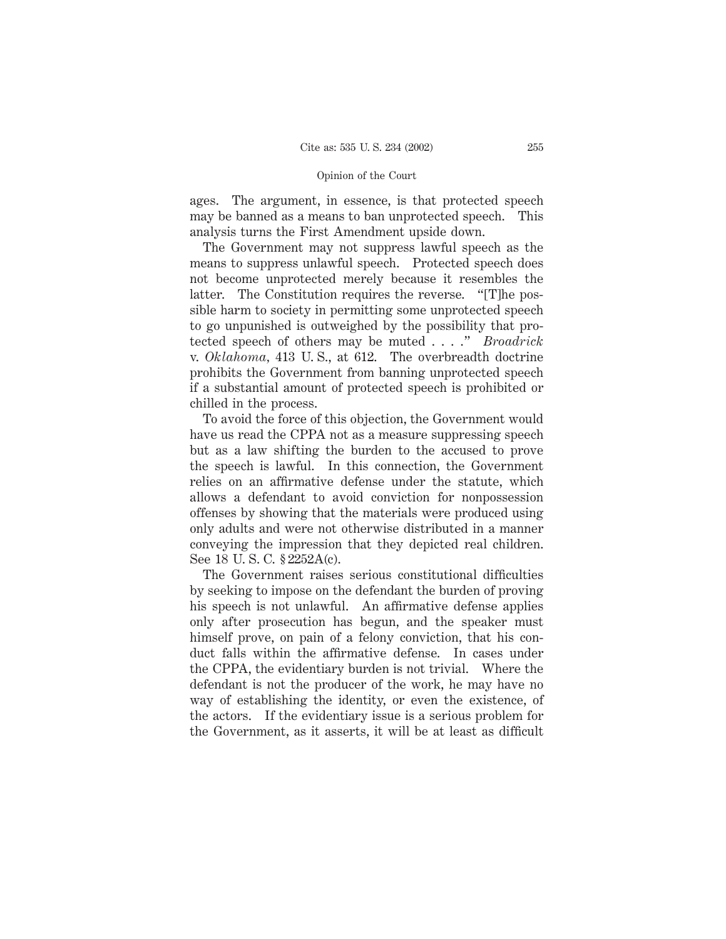ages. The argument, in essence, is that protected speech may be banned as a means to ban unprotected speech. This analysis turns the First Amendment upside down.

The Government may not suppress lawful speech as the means to suppress unlawful speech. Protected speech does not become unprotected merely because it resembles the latter. The Constitution requires the reverse. "[T]he possible harm to society in permitting some unprotected speech to go unpunished is outweighed by the possibility that protected speech of others may be muted . . . ." *Broadrick* v. *Oklahoma,* 413 U. S., at 612. The overbreadth doctrine prohibits the Government from banning unprotected speech if a substantial amount of protected speech is prohibited or chilled in the process.

To avoid the force of this objection, the Government would have us read the CPPA not as a measure suppressing speech but as a law shifting the burden to the accused to prove the speech is lawful. In this connection, the Government relies on an affirmative defense under the statute, which allows a defendant to avoid conviction for nonpossession offenses by showing that the materials were produced using only adults and were not otherwise distributed in a manner conveying the impression that they depicted real children. See 18 U. S. C. § 2252A(c).

The Government raises serious constitutional difficulties by seeking to impose on the defendant the burden of proving his speech is not unlawful. An affirmative defense applies only after prosecution has begun, and the speaker must himself prove, on pain of a felony conviction, that his conduct falls within the affirmative defense. In cases under the CPPA, the evidentiary burden is not trivial. Where the defendant is not the producer of the work, he may have no way of establishing the identity, or even the existence, of the actors. If the evidentiary issue is a serious problem for the Government, as it asserts, it will be at least as difficult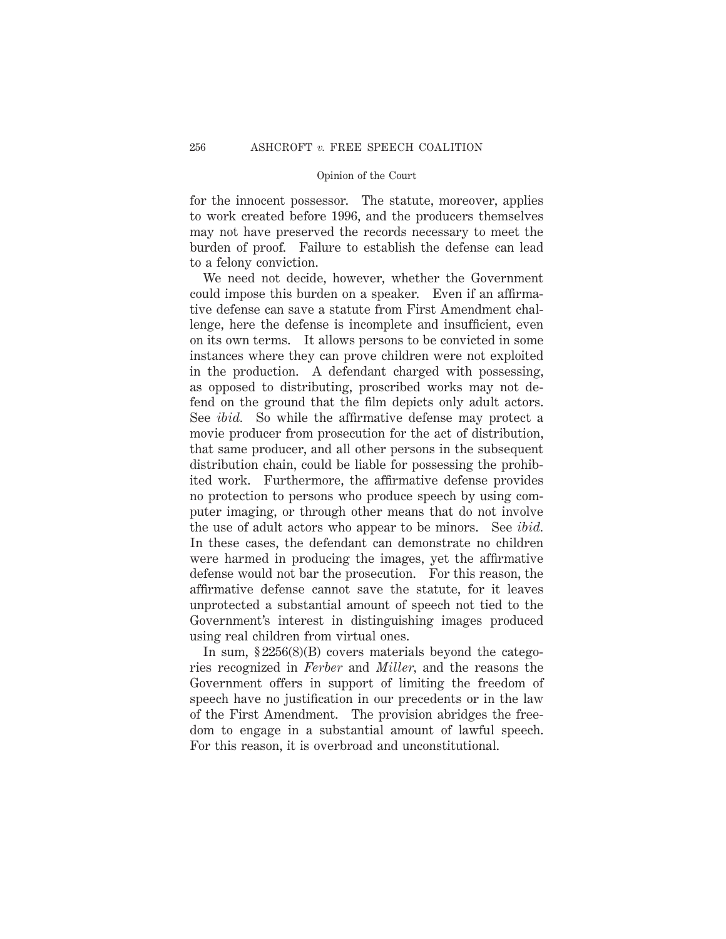for the innocent possessor. The statute, moreover, applies to work created before 1996, and the producers themselves may not have preserved the records necessary to meet the burden of proof. Failure to establish the defense can lead to a felony conviction.

We need not decide, however, whether the Government could impose this burden on a speaker. Even if an affirmative defense can save a statute from First Amendment challenge, here the defense is incomplete and insufficient, even on its own terms. It allows persons to be convicted in some instances where they can prove children were not exploited in the production. A defendant charged with possessing, as opposed to distributing, proscribed works may not defend on the ground that the film depicts only adult actors. See *ibid.* So while the affirmative defense may protect a movie producer from prosecution for the act of distribution, that same producer, and all other persons in the subsequent distribution chain, could be liable for possessing the prohibited work. Furthermore, the affirmative defense provides no protection to persons who produce speech by using computer imaging, or through other means that do not involve the use of adult actors who appear to be minors. See *ibid.* In these cases, the defendant can demonstrate no children were harmed in producing the images, yet the affirmative defense would not bar the prosecution. For this reason, the affirmative defense cannot save the statute, for it leaves unprotected a substantial amount of speech not tied to the Government's interest in distinguishing images produced using real children from virtual ones.

In sum, § 2256(8)(B) covers materials beyond the categories recognized in *Ferber* and *Miller,* and the reasons the Government offers in support of limiting the freedom of speech have no justification in our precedents or in the law of the First Amendment. The provision abridges the freedom to engage in a substantial amount of lawful speech. For this reason, it is overbroad and unconstitutional.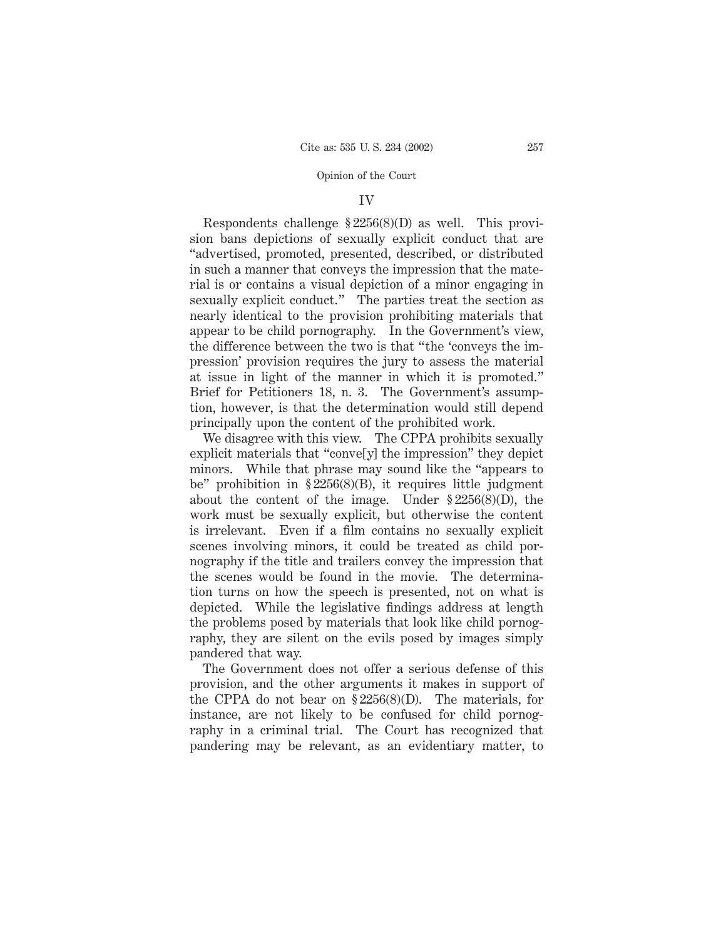### IV

Respondents challenge § 2256(8)(D) as well. This provision bans depictions of sexually explicit conduct that are "advertised, promoted, presented, described, or distributed in such a manner that conveys the impression that the material is or contains a visual depiction of a minor engaging in sexually explicit conduct." The parties treat the section as nearly identical to the provision prohibiting materials that appear to be child pornography. In the Government's view, the difference between the two is that "the 'conveys the impression' provision requires the jury to assess the material at issue in light of the manner in which it is promoted." Brief for Petitioners 18, n. 3. The Government's assumption, however, is that the determination would still depend principally upon the content of the prohibited work.

We disagree with this view. The CPPA prohibits sexually explicit materials that "conve[y] the impression" they depict minors. While that phrase may sound like the "appears to be" prohibition in § 2256(8)(B), it requires little judgment about the content of the image. Under  $\S 2256(8)(D)$ , the work must be sexually explicit, but otherwise the content is irrelevant. Even if a film contains no sexually explicit scenes involving minors, it could be treated as child pornography if the title and trailers convey the impression that the scenes would be found in the movie. The determination turns on how the speech is presented, not on what is depicted. While the legislative findings address at length the problems posed by materials that look like child pornography, they are silent on the evils posed by images simply pandered that way.

The Government does not offer a serious defense of this provision, and the other arguments it makes in support of the CPPA do not bear on  $$2256(8)(D)$ . The materials, for instance, are not likely to be confused for child pornography in a criminal trial. The Court has recognized that pandering may be relevant, as an evidentiary matter, to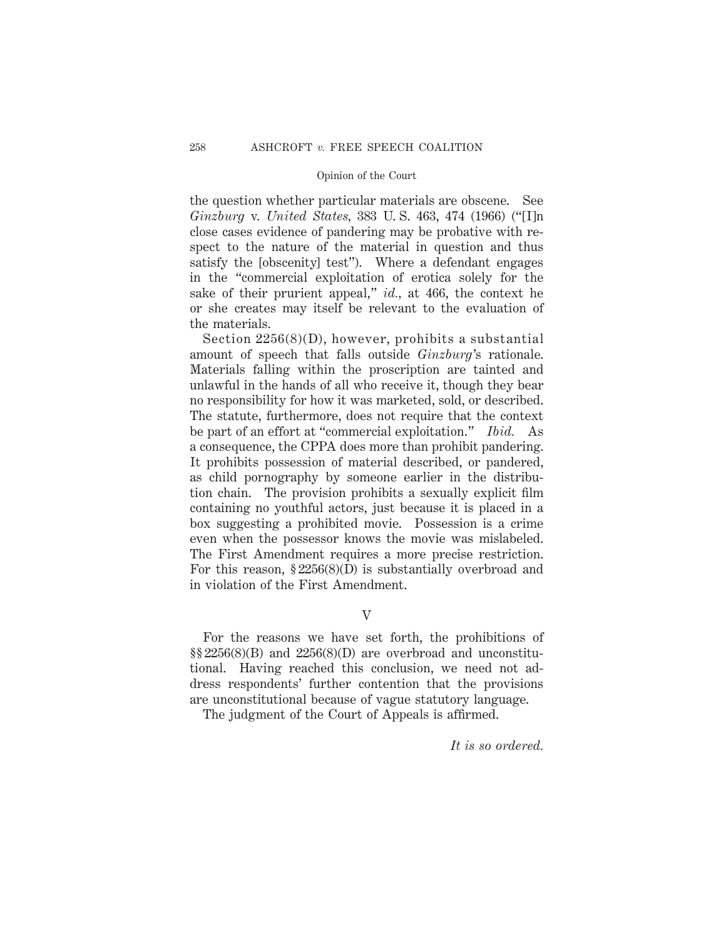the question whether particular materials are obscene. See *Ginzburg* v. *United States,* 383 U. S. 463, 474 (1966) ("[I]n close cases evidence of pandering may be probative with respect to the nature of the material in question and thus satisfy the [obscenity] test"). Where a defendant engages in the "commercial exploitation of erotica solely for the sake of their prurient appeal," *id.,* at 466, the context he or she creates may itself be relevant to the evaluation of the materials.

Section 2256(8)(D), however, prohibits a substantial amount of speech that falls outside *Ginzburg*'s rationale. Materials falling within the proscription are tainted and unlawful in the hands of all who receive it, though they bear no responsibility for how it was marketed, sold, or described. The statute, furthermore, does not require that the context be part of an effort at "commercial exploitation." *Ibid.* As a consequence, the CPPA does more than prohibit pandering. It prohibits possession of material described, or pandered, as child pornography by someone earlier in the distribution chain. The provision prohibits a sexually explicit film containing no youthful actors, just because it is placed in a box suggesting a prohibited movie. Possession is a crime even when the possessor knows the movie was mislabeled. The First Amendment requires a more precise restriction. For this reason, § 2256(8)(D) is substantially overbroad and in violation of the First Amendment.

V

For the reasons we have set forth, the prohibitions of §§ 2256(8)(B) and 2256(8)(D) are overbroad and unconstitutional. Having reached this conclusion, we need not address respondents' further contention that the provisions are unconstitutional because of vague statutory language.

The judgment of the Court of Appeals is affirmed.

*It is so ordered.*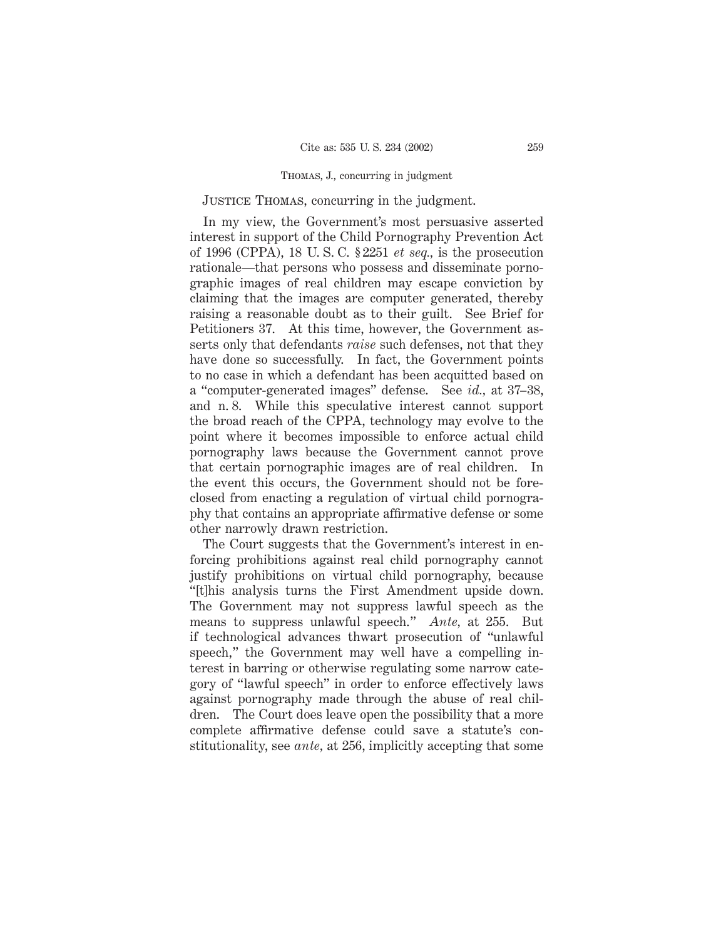# Thomas, J., concurring in judgment

# Justice Thomas, concurring in the judgment.

In my view, the Government's most persuasive asserted interest in support of the Child Pornography Prevention Act of 1996 (CPPA), 18 U. S. C. § 2251 *et seq.,* is the prosecution rationale—that persons who possess and disseminate pornographic images of real children may escape conviction by claiming that the images are computer generated, thereby raising a reasonable doubt as to their guilt. See Brief for Petitioners 37. At this time, however, the Government asserts only that defendants *raise* such defenses, not that they have done so successfully. In fact, the Government points to no case in which a defendant has been acquitted based on a "computer-generated images" defense. See *id.,* at 37–38, and n. 8. While this speculative interest cannot support the broad reach of the CPPA, technology may evolve to the point where it becomes impossible to enforce actual child pornography laws because the Government cannot prove that certain pornographic images are of real children. In the event this occurs, the Government should not be foreclosed from enacting a regulation of virtual child pornography that contains an appropriate affirmative defense or some other narrowly drawn restriction.

The Court suggests that the Government's interest in enforcing prohibitions against real child pornography cannot justify prohibitions on virtual child pornography, because "[t]his analysis turns the First Amendment upside down. The Government may not suppress lawful speech as the means to suppress unlawful speech." *Ante,* at 255. But if technological advances thwart prosecution of "unlawful speech," the Government may well have a compelling interest in barring or otherwise regulating some narrow category of "lawful speech" in order to enforce effectively laws against pornography made through the abuse of real children. The Court does leave open the possibility that a more complete affirmative defense could save a statute's constitutionality, see *ante,* at 256, implicitly accepting that some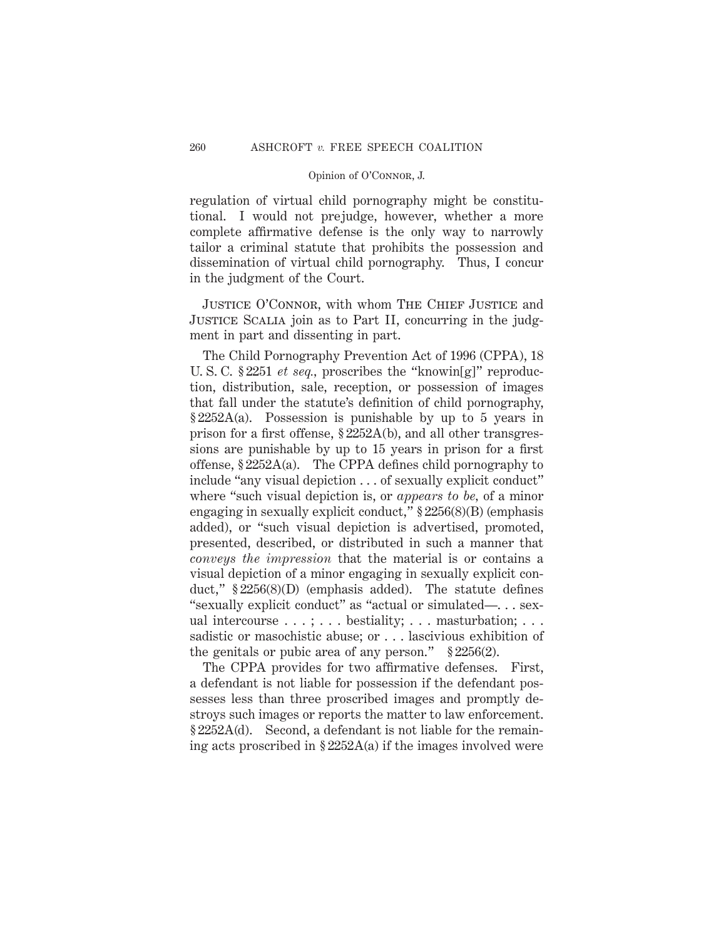regulation of virtual child pornography might be constitutional. I would not prejudge, however, whether a more complete affirmative defense is the only way to narrowly tailor a criminal statute that prohibits the possession and dissemination of virtual child pornography. Thus, I concur in the judgment of the Court.

JUSTICE O'CONNOR, with whom THE CHIEF JUSTICE and Justice Scalia join as to Part II, concurring in the judgment in part and dissenting in part.

The Child Pornography Prevention Act of 1996 (CPPA), 18 U. S. C. § 2251 *et seq.,* proscribes the "knowin[g]" reproduction, distribution, sale, reception, or possession of images that fall under the statute's definition of child pornography, § 2252A(a). Possession is punishable by up to 5 years in prison for a first offense, § 2252A(b), and all other transgressions are punishable by up to 15 years in prison for a first offense,  $§ 2252A(a)$ . The CPPA defines child pornography to include "any visual depiction . . . of sexually explicit conduct" where "such visual depiction is, or *appears to be,* of a minor engaging in sexually explicit conduct," § 2256(8)(B) (emphasis added), or "such visual depiction is advertised, promoted, presented, described, or distributed in such a manner that *conveys the impression* that the material is or contains a visual depiction of a minor engaging in sexually explicit conduct," § 2256(8)(D) (emphasis added). The statute defines "sexually explicit conduct" as "actual or simulated—. . . sexual intercourse  $\dots$ ; ... bestiality; ... masturbation; ... sadistic or masochistic abuse; or . . . lascivious exhibition of the genitals or pubic area of any person."  $§ 2256(2)$ .

The CPPA provides for two affirmative defenses. First, a defendant is not liable for possession if the defendant possesses less than three proscribed images and promptly destroys such images or reports the matter to law enforcement. § 2252A(d). Second, a defendant is not liable for the remaining acts proscribed in § 2252A(a) if the images involved were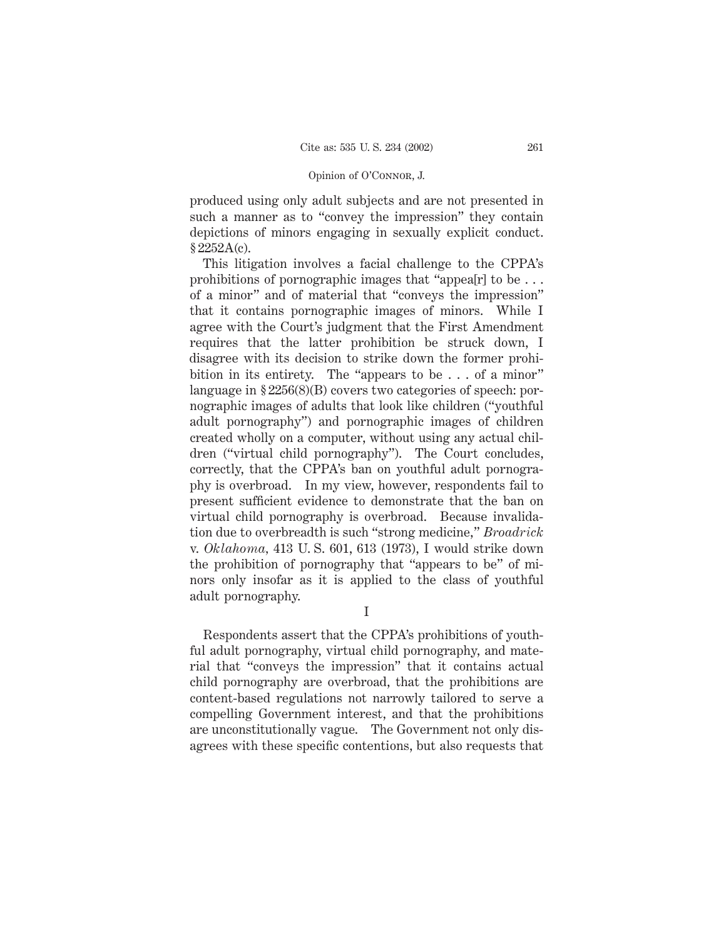produced using only adult subjects and are not presented in such a manner as to "convey the impression" they contain depictions of minors engaging in sexually explicit conduct. § 2252A(c).

This litigation involves a facial challenge to the CPPA's prohibitions of pornographic images that "appea[r] to be . . . of a minor" and of material that "conveys the impression" that it contains pornographic images of minors. While I agree with the Court's judgment that the First Amendment requires that the latter prohibition be struck down, I disagree with its decision to strike down the former prohibition in its entirety. The "appears to be . . . of a minor" language in § 2256(8)(B) covers two categories of speech: pornographic images of adults that look like children ("youthful adult pornography") and pornographic images of children created wholly on a computer, without using any actual children ("virtual child pornography"). The Court concludes, correctly, that the CPPA's ban on youthful adult pornography is overbroad. In my view, however, respondents fail to present sufficient evidence to demonstrate that the ban on virtual child pornography is overbroad. Because invalidation due to overbreadth is such "strong medicine," *Broadrick* v. *Oklahoma,* 413 U. S. 601, 613 (1973), I would strike down the prohibition of pornography that "appears to be" of minors only insofar as it is applied to the class of youthful adult pornography.

I

Respondents assert that the CPPA's prohibitions of youthful adult pornography, virtual child pornography, and material that "conveys the impression" that it contains actual child pornography are overbroad, that the prohibitions are content-based regulations not narrowly tailored to serve a compelling Government interest, and that the prohibitions are unconstitutionally vague. The Government not only disagrees with these specific contentions, but also requests that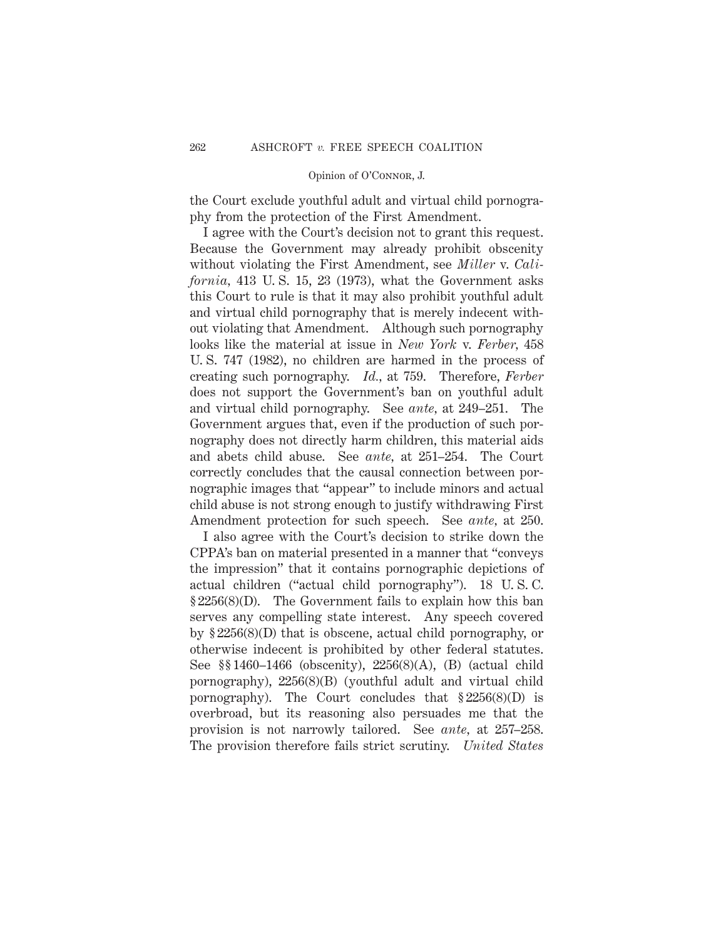the Court exclude youthful adult and virtual child pornography from the protection of the First Amendment.

I agree with the Court's decision not to grant this request. Because the Government may already prohibit obscenity without violating the First Amendment, see *Miller* v. *California,* 413 U. S. 15, 23 (1973), what the Government asks this Court to rule is that it may also prohibit youthful adult and virtual child pornography that is merely indecent without violating that Amendment. Although such pornography looks like the material at issue in *New York* v. *Ferber,* 458 U. S. 747 (1982), no children are harmed in the process of creating such pornography. *Id.,* at 759. Therefore, *Ferber* does not support the Government's ban on youthful adult and virtual child pornography. See *ante,* at 249–251. The Government argues that, even if the production of such pornography does not directly harm children, this material aids and abets child abuse. See *ante,* at 251–254. The Court correctly concludes that the causal connection between pornographic images that "appear" to include minors and actual child abuse is not strong enough to justify withdrawing First Amendment protection for such speech. See *ante,* at 250.

I also agree with the Court's decision to strike down the CPPA's ban on material presented in a manner that "conveys the impression" that it contains pornographic depictions of actual children ("actual child pornography"). 18 U. S. C. § 2256(8)(D). The Government fails to explain how this ban serves any compelling state interest. Any speech covered by § 2256(8)(D) that is obscene, actual child pornography, or otherwise indecent is prohibited by other federal statutes. See §§ 1460–1466 (obscenity), 2256(8)(A), (B) (actual child pornography), 2256(8)(B) (youthful adult and virtual child pornography). The Court concludes that  $§ 2256(8)(D)$  is overbroad, but its reasoning also persuades me that the provision is not narrowly tailored. See *ante,* at 257–258. The provision therefore fails strict scrutiny. *United States*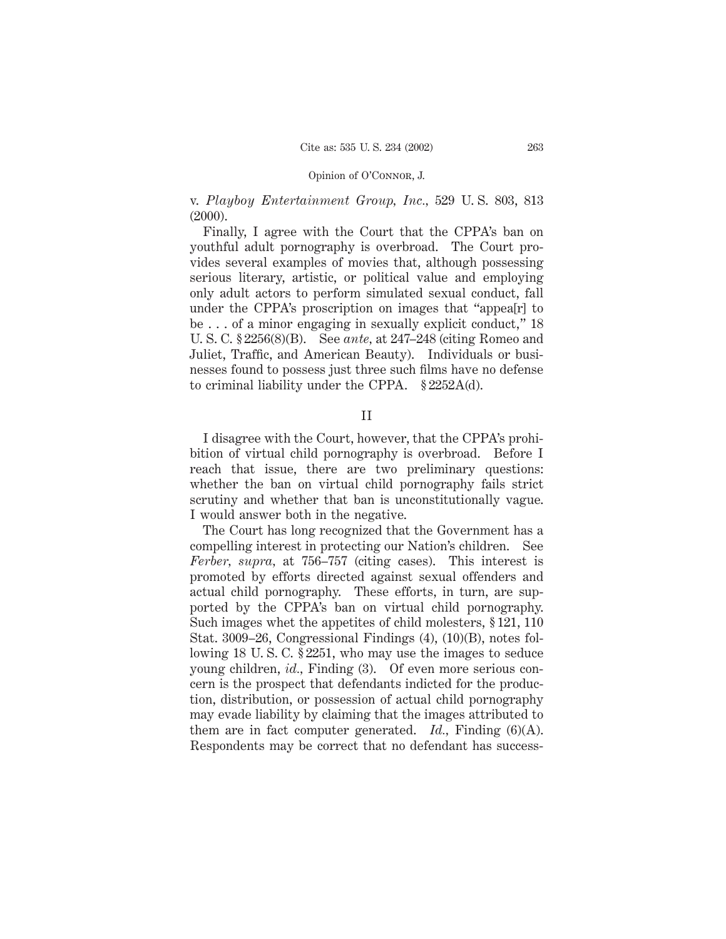v. *Playboy Entertainment Group, Inc.,* 529 U. S. 803, 813 (2000).

Finally, I agree with the Court that the CPPA's ban on youthful adult pornography is overbroad. The Court provides several examples of movies that, although possessing serious literary, artistic, or political value and employing only adult actors to perform simulated sexual conduct, fall under the CPPA's proscription on images that "appea[r] to be ... of a minor engaging in sexually explicit conduct," 18 U. S. C. § 2256(8)(B). See *ante,* at 247–248 (citing Romeo and Juliet, Traffic, and American Beauty). Individuals or businesses found to possess just three such films have no defense to criminal liability under the CPPA. § 2252A(d).

I disagree with the Court, however, that the CPPA's prohibition of virtual child pornography is overbroad. Before I reach that issue, there are two preliminary questions: whether the ban on virtual child pornography fails strict scrutiny and whether that ban is unconstitutionally vague. I would answer both in the negative.

The Court has long recognized that the Government has a compelling interest in protecting our Nation's children. See *Ferber, supra,* at 756–757 (citing cases). This interest is promoted by efforts directed against sexual offenders and actual child pornography. These efforts, in turn, are supported by the CPPA's ban on virtual child pornography. Such images whet the appetites of child molesters, § 121, 110 Stat. 3009–26, Congressional Findings (4), (10)(B), notes following 18 U. S. C. § 2251, who may use the images to seduce young children, *id.,* Finding (3). Of even more serious concern is the prospect that defendants indicted for the production, distribution, or possession of actual child pornography may evade liability by claiming that the images attributed to them are in fact computer generated. *Id.,* Finding (6)(A). Respondents may be correct that no defendant has success-

II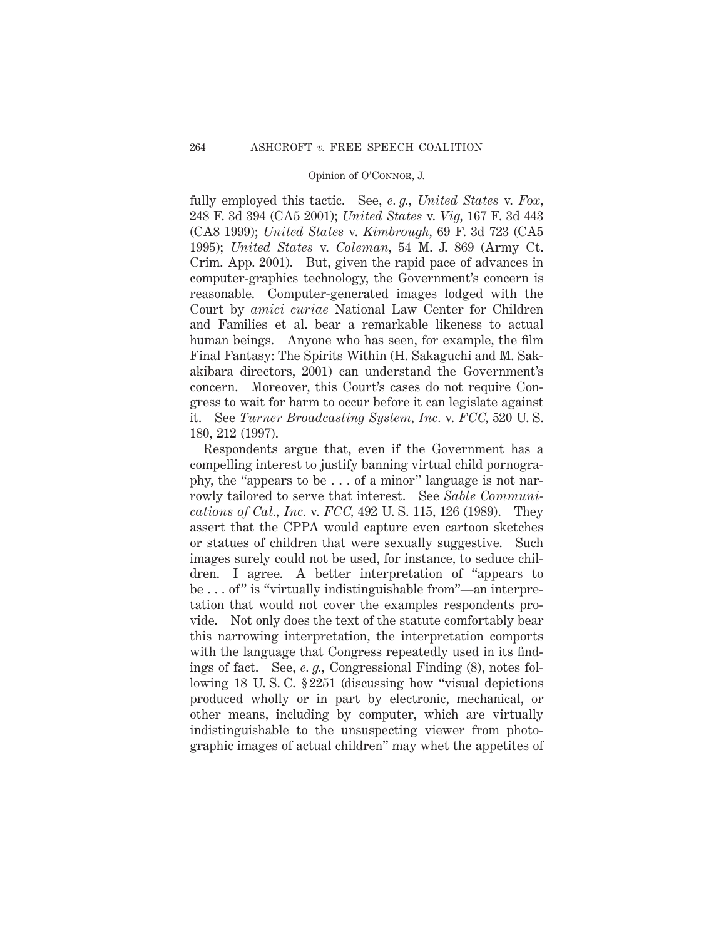fully employed this tactic. See, *e. g., United States* v. *Fox,* 248 F. 3d 394 (CA5 2001); *United States* v. *Vig,* 167 F. 3d 443 (CA8 1999); *United States* v. *Kimbrough,* 69 F. 3d 723 (CA5 1995); *United States* v. *Coleman,* 54 M. J. 869 (Army Ct. Crim. App. 2001). But, given the rapid pace of advances in computer-graphics technology, the Government's concern is reasonable. Computer-generated images lodged with the Court by *amici curiae* National Law Center for Children and Families et al. bear a remarkable likeness to actual human beings. Anyone who has seen, for example, the film Final Fantasy: The Spirits Within (H. Sakaguchi and M. Sakakibara directors, 2001) can understand the Government's concern. Moreover, this Court's cases do not require Congress to wait for harm to occur before it can legislate against it. See *Turner Broadcasting System, Inc.* v. *FCC,* 520 U. S. 180, 212 (1997).

Respondents argue that, even if the Government has a compelling interest to justify banning virtual child pornography, the "appears to be . . . of a minor" language is not narrowly tailored to serve that interest. See *Sable Communications of Cal., Inc.* v. *FCC,* 492 U. S. 115, 126 (1989). They assert that the CPPA would capture even cartoon sketches or statues of children that were sexually suggestive. Such images surely could not be used, for instance, to seduce children. I agree. A better interpretation of "appears to be . . . of" is "virtually indistinguishable from"—an interpretation that would not cover the examples respondents provide. Not only does the text of the statute comfortably bear this narrowing interpretation, the interpretation comports with the language that Congress repeatedly used in its findings of fact. See, *e. g.,* Congressional Finding (8), notes following 18 U. S. C. § 2251 (discussing how "visual depictions produced wholly or in part by electronic, mechanical, or other means, including by computer, which are virtually indistinguishable to the unsuspecting viewer from photographic images of actual children" may whet the appetites of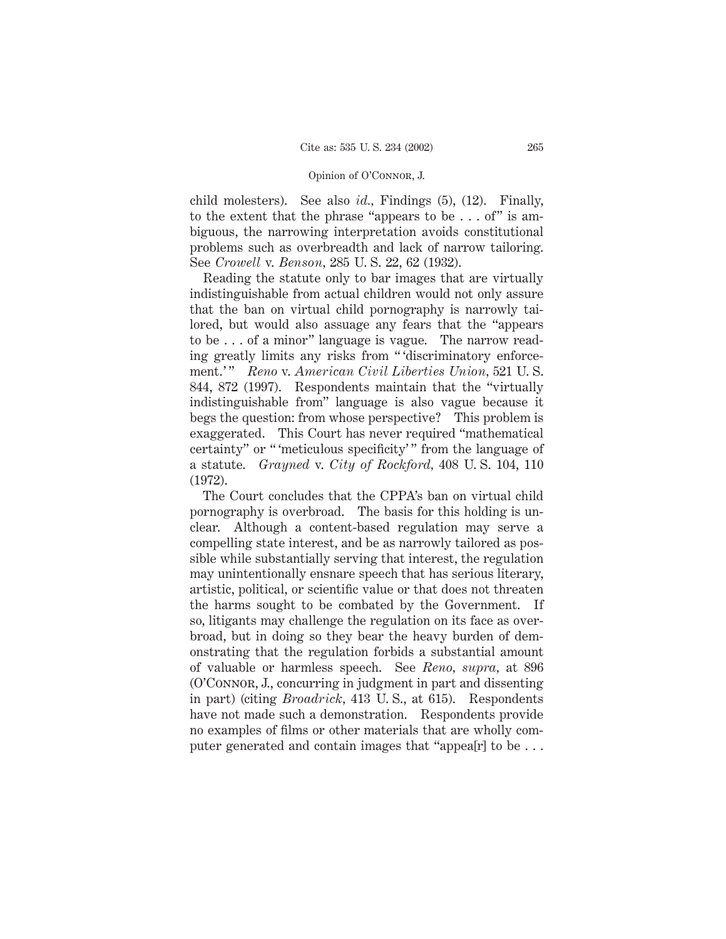child molesters). See also *id.,* Findings (5), (12). Finally, to the extent that the phrase "appears to be . . . of" is ambiguous, the narrowing interpretation avoids constitutional problems such as overbreadth and lack of narrow tailoring. See *Crowell* v. *Benson,* 285 U. S. 22, 62 (1932).

Reading the statute only to bar images that are virtually indistinguishable from actual children would not only assure that the ban on virtual child pornography is narrowly tailored, but would also assuage any fears that the "appears to be . . . of a minor" language is vague. The narrow reading greatly limits any risks from " 'discriminatory enforcement.' " *Reno* v. *American Civil Liberties Union,* 521 U. S. 844, 872 (1997). Respondents maintain that the "virtually indistinguishable from" language is also vague because it begs the question: from whose perspective? This problem is exaggerated. This Court has never required "mathematical certainty" or " 'meticulous specificity'" from the language of a statute. *Grayned* v. *City of Rockford,* 408 U. S. 104, 110 (1972).

The Court concludes that the CPPA's ban on virtual child pornography is overbroad. The basis for this holding is unclear. Although a content-based regulation may serve a compelling state interest, and be as narrowly tailored as possible while substantially serving that interest, the regulation may unintentionally ensnare speech that has serious literary, artistic, political, or scientific value or that does not threaten the harms sought to be combated by the Government. If so, litigants may challenge the regulation on its face as overbroad, but in doing so they bear the heavy burden of demonstrating that the regulation forbids a substantial amount of valuable or harmless speech. See *Reno, supra,* at 896 (O'Connor, J., concurring in judgment in part and dissenting in part) (citing *Broadrick,* 413 U. S., at 615). Respondents have not made such a demonstration. Respondents provide no examples of films or other materials that are wholly computer generated and contain images that "appea[r] to be . . .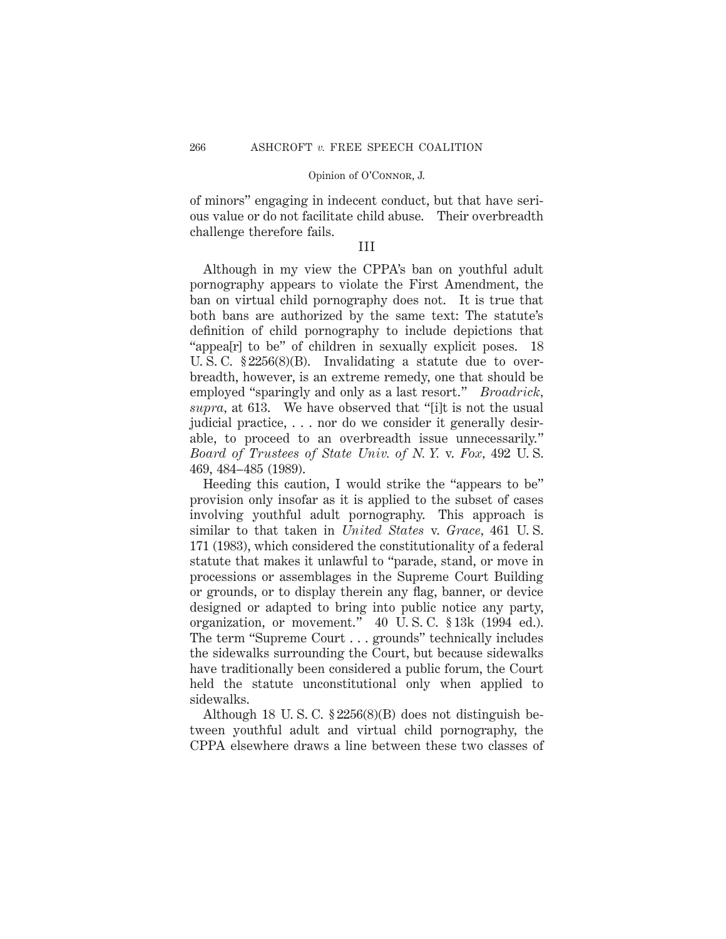of minors" engaging in indecent conduct, but that have serious value or do not facilitate child abuse. Their overbreadth challenge therefore fails.

# III

Although in my view the CPPA's ban on youthful adult pornography appears to violate the First Amendment, the ban on virtual child pornography does not. It is true that both bans are authorized by the same text: The statute's definition of child pornography to include depictions that "appea[r] to be" of children in sexually explicit poses. 18 U. S. C. § 2256(8)(B). Invalidating a statute due to overbreadth, however, is an extreme remedy, one that should be employed "sparingly and only as a last resort." *Broadrick, supra,* at 613. We have observed that "[i]t is not the usual judicial practice, . . . nor do we consider it generally desirable, to proceed to an overbreadth issue unnecessarily." *Board of Trustees of State Univ. of N. Y.* v. *Fox,* 492 U. S. 469, 484–485 (1989).

Heeding this caution, I would strike the "appears to be" provision only insofar as it is applied to the subset of cases involving youthful adult pornography. This approach is similar to that taken in *United States* v. *Grace,* 461 U. S. 171 (1983), which considered the constitutionality of a federal statute that makes it unlawful to "parade, stand, or move in processions or assemblages in the Supreme Court Building or grounds, or to display therein any flag, banner, or device designed or adapted to bring into public notice any party, organization, or movement." 40 U. S. C. § 13k (1994 ed.). The term "Supreme Court . . . grounds" technically includes the sidewalks surrounding the Court, but because sidewalks have traditionally been considered a public forum, the Court held the statute unconstitutional only when applied to sidewalks.

Although 18 U. S. C. § 2256(8)(B) does not distinguish between youthful adult and virtual child pornography, the CPPA elsewhere draws a line between these two classes of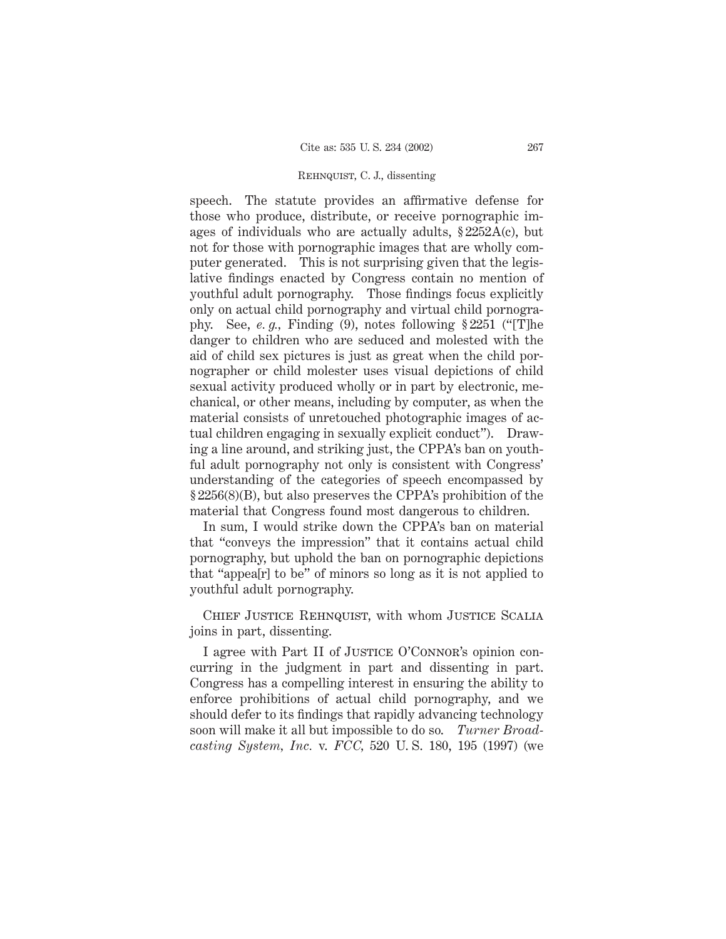speech. The statute provides an affirmative defense for those who produce, distribute, or receive pornographic images of individuals who are actually adults,  $\S 2252A(c)$ , but not for those with pornographic images that are wholly computer generated. This is not surprising given that the legislative findings enacted by Congress contain no mention of youthful adult pornography. Those findings focus explicitly only on actual child pornography and virtual child pornography. See, *e. g.,* Finding (9), notes following § 2251 ("[T]he danger to children who are seduced and molested with the aid of child sex pictures is just as great when the child pornographer or child molester uses visual depictions of child sexual activity produced wholly or in part by electronic, mechanical, or other means, including by computer, as when the material consists of unretouched photographic images of actual children engaging in sexually explicit conduct"). Drawing a line around, and striking just, the CPPA's ban on youthful adult pornography not only is consistent with Congress' understanding of the categories of speech encompassed by § 2256(8)(B), but also preserves the CPPA's prohibition of the material that Congress found most dangerous to children.

In sum, I would strike down the CPPA's ban on material that "conveys the impression" that it contains actual child pornography, but uphold the ban on pornographic depictions that "appea[r] to be" of minors so long as it is not applied to youthful adult pornography.

Chief Justice Rehnquist, with whom Justice Scalia joins in part, dissenting.

I agree with Part II of JUSTICE O'CONNOR's opinion concurring in the judgment in part and dissenting in part. Congress has a compelling interest in ensuring the ability to enforce prohibitions of actual child pornography, and we should defer to its findings that rapidly advancing technology soon will make it all but impossible to do so. *Turner Broadcasting System, Inc.* v. *FCC,* 520 U. S. 180, 195 (1997) (we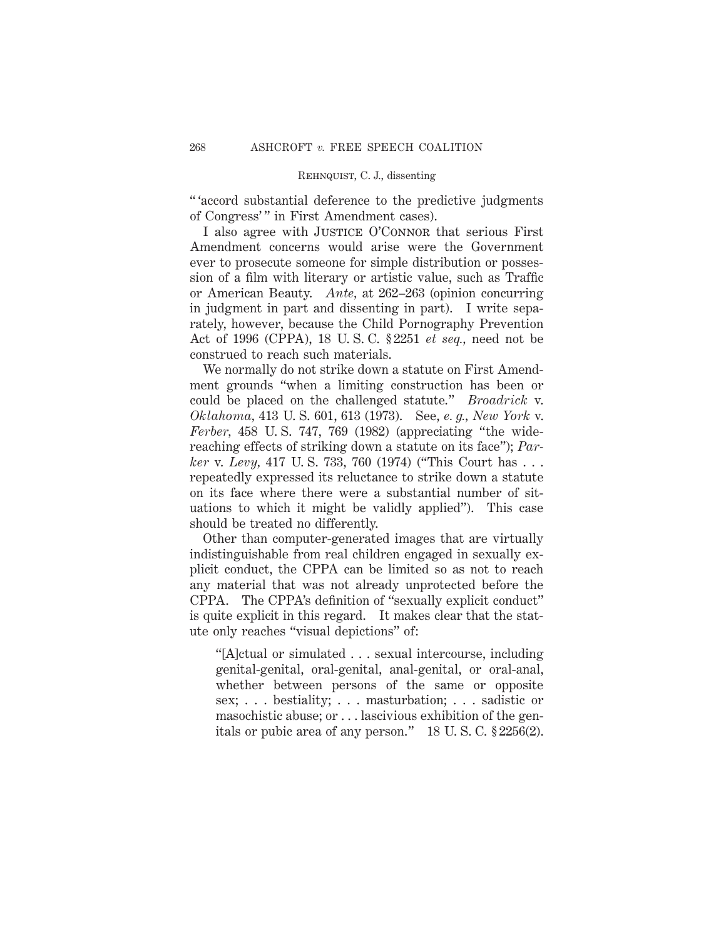" 'accord substantial deference to the predictive judgments of Congress' " in First Amendment cases).

I also agree with JUSTICE O'CONNOR that serious First Amendment concerns would arise were the Government ever to prosecute someone for simple distribution or possession of a film with literary or artistic value, such as Traffic or American Beauty. *Ante,* at 262–263 (opinion concurring in judgment in part and dissenting in part). I write separately, however, because the Child Pornography Prevention Act of 1996 (CPPA), 18 U. S. C. § 2251 *et seq.,* need not be construed to reach such materials.

We normally do not strike down a statute on First Amendment grounds "when a limiting construction has been or could be placed on the challenged statute." *Broadrick* v. *Oklahoma,* 413 U. S. 601, 613 (1973). See, *e. g., New York* v. *Ferber,* 458 U. S. 747, 769 (1982) (appreciating "the widereaching effects of striking down a statute on its face"); *Parker* v. *Levy,* 417 U. S. 733, 760 (1974) ("This Court has . . . repeatedly expressed its reluctance to strike down a statute on its face where there were a substantial number of situations to which it might be validly applied"). This case should be treated no differently.

Other than computer-generated images that are virtually indistinguishable from real children engaged in sexually explicit conduct, the CPPA can be limited so as not to reach any material that was not already unprotected before the CPPA. The CPPA's definition of "sexually explicit conduct" is quite explicit in this regard. It makes clear that the statute only reaches "visual depictions" of:

"[A]ctual or simulated . . . sexual intercourse, including genital-genital, oral-genital, anal-genital, or oral-anal, whether between persons of the same or opposite sex; . . . bestiality; . . . masturbation; . . . sadistic or masochistic abuse; or . . . lascivious exhibition of the genitals or pubic area of any person." 18 U. S. C. § 2256(2).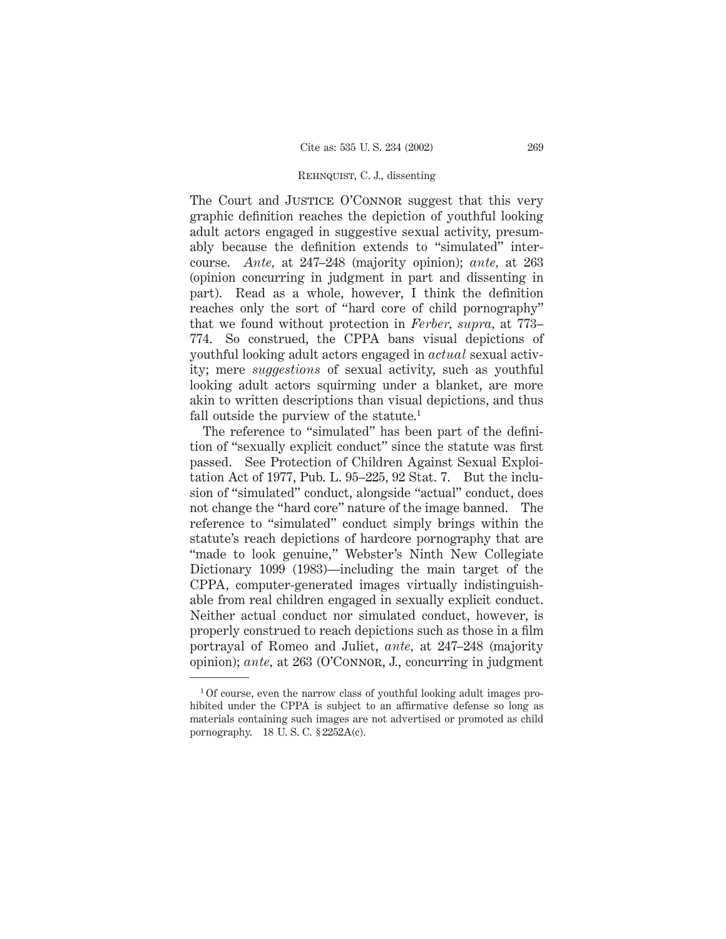The Court and JUSTICE O'CONNOR suggest that this very graphic definition reaches the depiction of youthful looking adult actors engaged in suggestive sexual activity, presumably because the definition extends to "simulated" intercourse. *Ante,* at 247–248 (majority opinion); *ante,* at 263 (opinion concurring in judgment in part and dissenting in part). Read as a whole, however, I think the definition reaches only the sort of "hard core of child pornography" that we found without protection in *Ferber, supra,* at 773– 774. So construed, the CPPA bans visual depictions of youthful looking adult actors engaged in *actual* sexual activity; mere *suggestions* of sexual activity, such as youthful looking adult actors squirming under a blanket, are more akin to written descriptions than visual depictions, and thus fall outside the purview of the statute.<sup>1</sup>

The reference to "simulated" has been part of the definition of "sexually explicit conduct" since the statute was first passed. See Protection of Children Against Sexual Exploitation Act of 1977, Pub. L. 95–225, 92 Stat. 7. But the inclusion of "simulated" conduct, alongside "actual" conduct, does not change the "hard core" nature of the image banned. The reference to "simulated" conduct simply brings within the statute's reach depictions of hardcore pornography that are "made to look genuine," Webster's Ninth New Collegiate Dictionary 1099 (1983)—including the main target of the CPPA, computer-generated images virtually indistinguishable from real children engaged in sexually explicit conduct. Neither actual conduct nor simulated conduct, however, is properly construed to reach depictions such as those in a film portrayal of Romeo and Juliet, *ante,* at 247–248 (majority opinion); *ante,* at 263 (O'Connor, J., concurring in judgment

<sup>&</sup>lt;sup>1</sup> Of course, even the narrow class of youthful looking adult images prohibited under the CPPA is subject to an affirmative defense so long as materials containing such images are not advertised or promoted as child pornography. 18 U. S. C. § 2252A(c).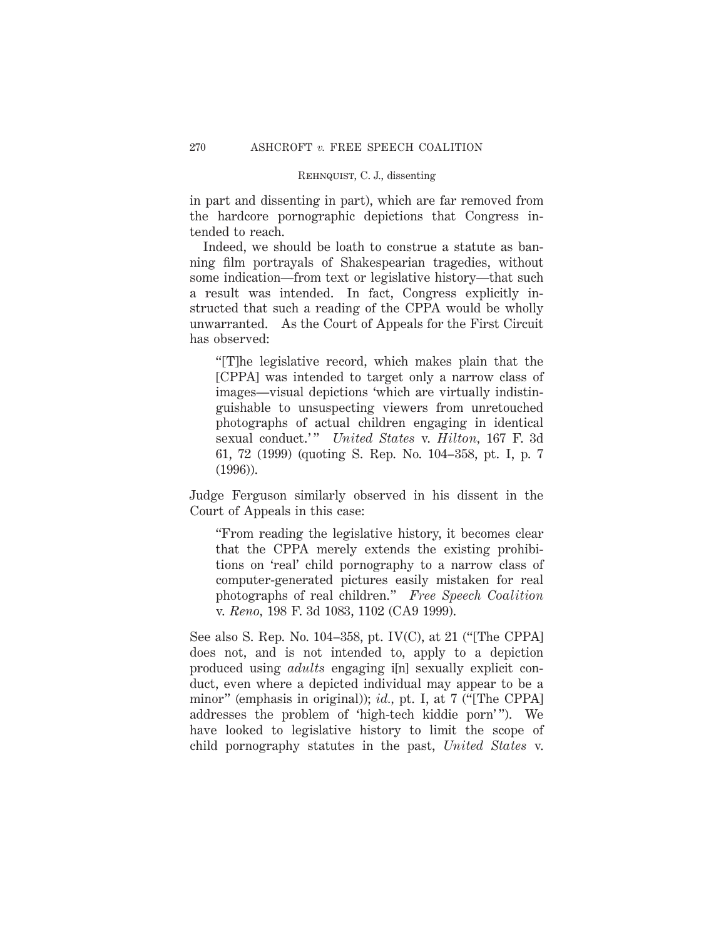in part and dissenting in part), which are far removed from the hardcore pornographic depictions that Congress intended to reach.

Indeed, we should be loath to construe a statute as banning film portrayals of Shakespearian tragedies, without some indication—from text or legislative history—that such a result was intended. In fact, Congress explicitly instructed that such a reading of the CPPA would be wholly unwarranted. As the Court of Appeals for the First Circuit has observed:

"[T]he legislative record, which makes plain that the [CPPA] was intended to target only a narrow class of images—visual depictions 'which are virtually indistinguishable to unsuspecting viewers from unretouched photographs of actual children engaging in identical sexual conduct.'" United States v. Hilton, 167 F. 3d 61, 72 (1999) (quoting S. Rep. No. 104–358, pt. I, p. 7 (1996)).

Judge Ferguson similarly observed in his dissent in the Court of Appeals in this case:

"From reading the legislative history, it becomes clear that the CPPA merely extends the existing prohibitions on 'real' child pornography to a narrow class of computer-generated pictures easily mistaken for real photographs of real children." *Free Speech Coalition* v. *Reno,* 198 F. 3d 1083, 1102 (CA9 1999).

See also S. Rep. No. 104–358, pt. IV(C), at 21 ("[The CPPA] does not, and is not intended to, apply to a depiction produced using *adults* engaging i[n] sexually explicit conduct, even where a depicted individual may appear to be a minor" (emphasis in original)); *id.,* pt. I, at 7 ("[The CPPA] addresses the problem of 'high-tech kiddie porn'"). We have looked to legislative history to limit the scope of child pornography statutes in the past, *United States* v.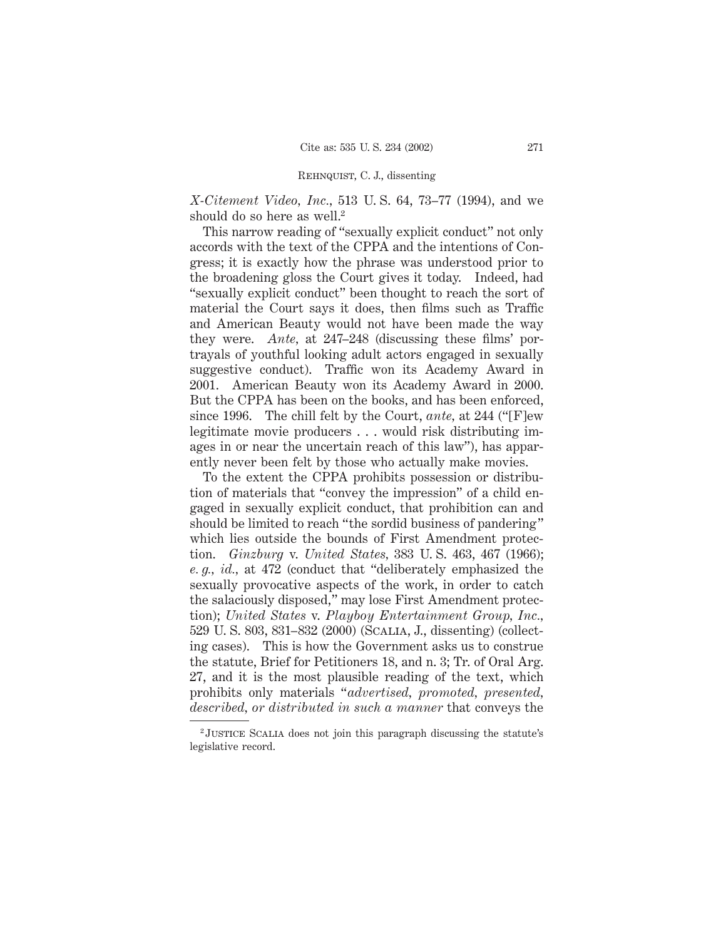*X-Citement Video, Inc.,* 513 U. S. 64, 73–77 (1994), and we should do so here as well.<sup>2</sup>

This narrow reading of "sexually explicit conduct" not only accords with the text of the CPPA and the intentions of Congress; it is exactly how the phrase was understood prior to the broadening gloss the Court gives it today. Indeed, had "sexually explicit conduct" been thought to reach the sort of material the Court says it does, then films such as Traffic and American Beauty would not have been made the way they were. *Ante,* at 247–248 (discussing these films' portrayals of youthful looking adult actors engaged in sexually suggestive conduct). Traffic won its Academy Award in 2001. American Beauty won its Academy Award in 2000. But the CPPA has been on the books, and has been enforced, since 1996. The chill felt by the Court, *ante,* at 244 ("[F]ew legitimate movie producers . . . would risk distributing images in or near the uncertain reach of this law"), has apparently never been felt by those who actually make movies.

To the extent the CPPA prohibits possession or distribution of materials that "convey the impression" of a child engaged in sexually explicit conduct, that prohibition can and should be limited to reach "the sordid business of pandering" which lies outside the bounds of First Amendment protection. *Ginzburg* v. *United States,* 383 U. S. 463, 467 (1966); *e. g., id.,* at 472 (conduct that "deliberately emphasized the sexually provocative aspects of the work, in order to catch the salaciously disposed," may lose First Amendment protection); *United States* v. *Playboy Entertainment Group, Inc.,* 529 U. S. 803, 831–832 (2000) (Scalia, J., dissenting) (collecting cases). This is how the Government asks us to construe the statute, Brief for Petitioners 18, and n. 3; Tr. of Oral Arg. 27, and it is the most plausible reading of the text, which prohibits only materials "*advertised, promoted, presented, described, or distributed in such a manner* that conveys the

<sup>&</sup>lt;sup>2</sup> JUSTICE SCALIA does not join this paragraph discussing the statute's legislative record.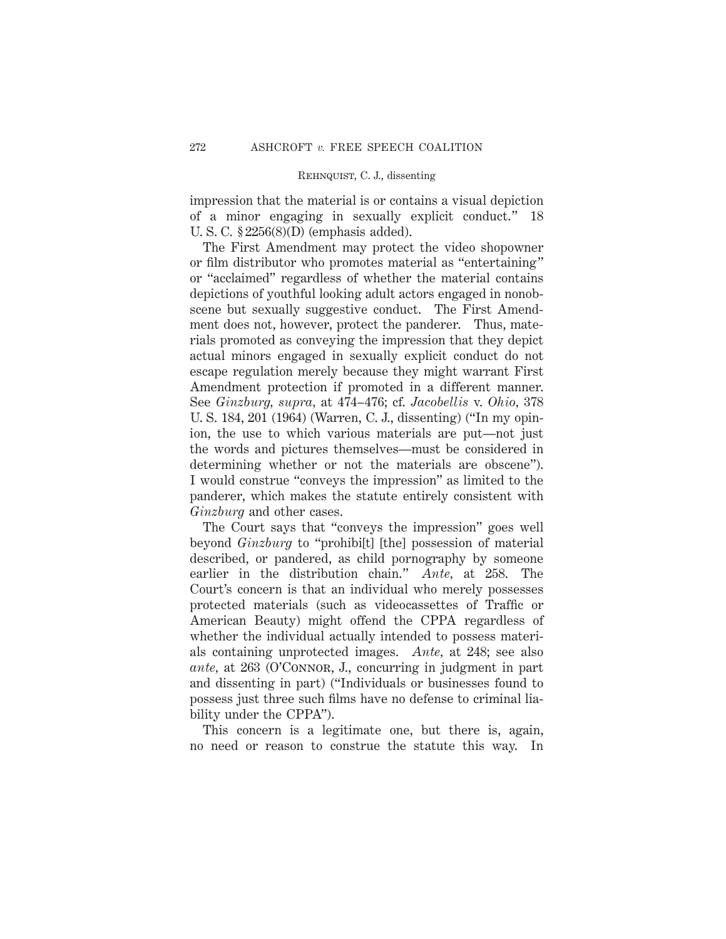impression that the material is or contains a visual depiction of a minor engaging in sexually explicit conduct." 18 U. S. C. § 2256(8)(D) (emphasis added).

The First Amendment may protect the video shopowner or film distributor who promotes material as "entertaining" or "acclaimed" regardless of whether the material contains depictions of youthful looking adult actors engaged in nonobscene but sexually suggestive conduct. The First Amendment does not, however, protect the panderer. Thus, materials promoted as conveying the impression that they depict actual minors engaged in sexually explicit conduct do not escape regulation merely because they might warrant First Amendment protection if promoted in a different manner. See *Ginzburg, supra,* at 474–476; cf. *Jacobellis* v. *Ohio,* 378 U. S. 184, 201 (1964) (Warren, C. J., dissenting) ("In my opinion, the use to which various materials are put—not just the words and pictures themselves—must be considered in determining whether or not the materials are obscene"). I would construe "conveys the impression" as limited to the panderer, which makes the statute entirely consistent with *Ginzburg* and other cases.

The Court says that "conveys the impression" goes well beyond *Ginzburg* to "prohibi[t] [the] possession of material described, or pandered, as child pornography by someone earlier in the distribution chain." *Ante,* at 258. The Court's concern is that an individual who merely possesses protected materials (such as videocassettes of Traffic or American Beauty) might offend the CPPA regardless of whether the individual actually intended to possess materials containing unprotected images. *Ante,* at 248; see also *ante*, at 263 (O'CONNOR, J., concurring in judgment in part and dissenting in part) ("Individuals or businesses found to possess just three such films have no defense to criminal liability under the CPPA").

This concern is a legitimate one, but there is, again, no need or reason to construe the statute this way. In